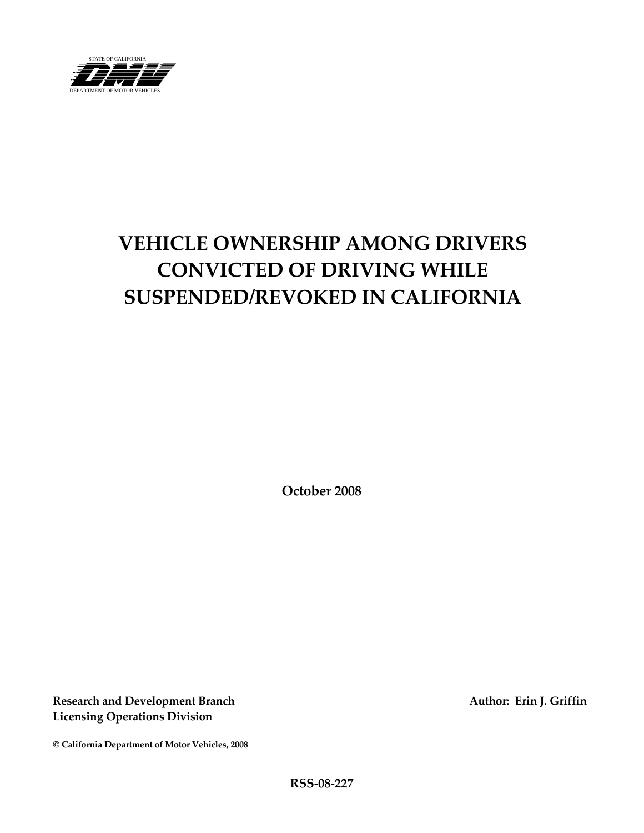

# **VEHICLE OWNERSHIP AMONG DRIVERS CONVICTED OF DRIVING WHILE SUSPENDED/REVOKED IN CALIFORNIA**

**October 2008**

**Research and Development Branch Author: Erin J. Griffin Licensing Operations Division** 

**© California Department of Motor Vehicles, 2008**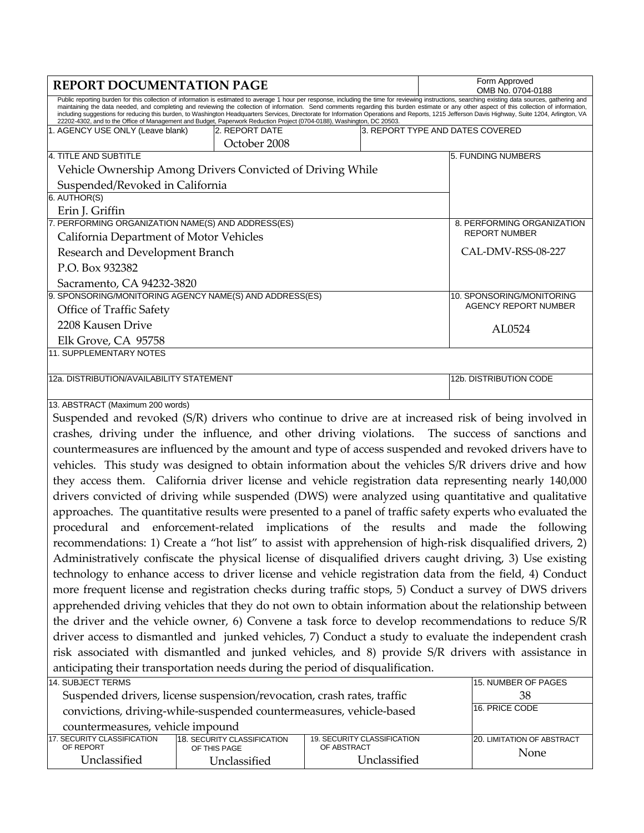| <b>REPORT DOCUMENTATION PAGE</b>                                                                                                                                                                                                                                                                                           |                                                                                                                                                                                                                                                                                                                                                                                                       |                                  |  | Form Approved<br>OMB No. 0704-0188 |  |
|----------------------------------------------------------------------------------------------------------------------------------------------------------------------------------------------------------------------------------------------------------------------------------------------------------------------------|-------------------------------------------------------------------------------------------------------------------------------------------------------------------------------------------------------------------------------------------------------------------------------------------------------------------------------------------------------------------------------------------------------|----------------------------------|--|------------------------------------|--|
|                                                                                                                                                                                                                                                                                                                            | Public reporting burden for this collection of information is estimated to average 1 hour per response, including the time for reviewing instructions, searching existing data sources, gathering and<br>maintaining the data needed, and completing and reviewing the collection of information. Send comments regarding this burden estimate or any other aspect of this collection of information, |                                  |  |                                    |  |
| including suggestions for reducing this burden, to Washington Headquarters Services, Directorate for Information Operations and Reports, 1215 Jefferson Davis Highway, Suite 1204, Arlington, VA<br>22202-4302, and to the Office of Management and Budget, Paperwork Reduction Project (0704-0188), Washington, DC 20503. |                                                                                                                                                                                                                                                                                                                                                                                                       |                                  |  |                                    |  |
| 1. AGENCY USE ONLY (Leave blank)                                                                                                                                                                                                                                                                                           | 2. REPORT DATE                                                                                                                                                                                                                                                                                                                                                                                        | 3. REPORT TYPE AND DATES COVERED |  |                                    |  |
|                                                                                                                                                                                                                                                                                                                            | October 2008                                                                                                                                                                                                                                                                                                                                                                                          |                                  |  |                                    |  |
| 4. TITLE AND SUBTITLE                                                                                                                                                                                                                                                                                                      |                                                                                                                                                                                                                                                                                                                                                                                                       |                                  |  | 5. FUNDING NUMBERS                 |  |
| Vehicle Ownership Among Drivers Convicted of Driving While                                                                                                                                                                                                                                                                 |                                                                                                                                                                                                                                                                                                                                                                                                       |                                  |  |                                    |  |
| Suspended/Revoked in California                                                                                                                                                                                                                                                                                            |                                                                                                                                                                                                                                                                                                                                                                                                       |                                  |  |                                    |  |
| 6. AUTHOR(S)                                                                                                                                                                                                                                                                                                               |                                                                                                                                                                                                                                                                                                                                                                                                       |                                  |  |                                    |  |
| Erin J. Griffin<br>7. PERFORMING ORGANIZATION NAME(S) AND ADDRESS(ES)                                                                                                                                                                                                                                                      |                                                                                                                                                                                                                                                                                                                                                                                                       |                                  |  | 8. PERFORMING ORGANIZATION         |  |
| California Department of Motor Vehicles                                                                                                                                                                                                                                                                                    |                                                                                                                                                                                                                                                                                                                                                                                                       |                                  |  | <b>REPORT NUMBER</b>               |  |
| Research and Development Branch                                                                                                                                                                                                                                                                                            |                                                                                                                                                                                                                                                                                                                                                                                                       |                                  |  | CAL-DMV-RSS-08-227                 |  |
| P.O. Box 932382                                                                                                                                                                                                                                                                                                            |                                                                                                                                                                                                                                                                                                                                                                                                       |                                  |  |                                    |  |
| Sacramento, CA 94232-3820                                                                                                                                                                                                                                                                                                  |                                                                                                                                                                                                                                                                                                                                                                                                       |                                  |  |                                    |  |
| 9. SPONSORING/MONITORING AGENCY NAME(S) AND ADDRESS(ES)                                                                                                                                                                                                                                                                    |                                                                                                                                                                                                                                                                                                                                                                                                       |                                  |  | 10. SPONSORING/MONITORING          |  |
| Office of Traffic Safety                                                                                                                                                                                                                                                                                                   |                                                                                                                                                                                                                                                                                                                                                                                                       |                                  |  | <b>AGENCY REPORT NUMBER</b>        |  |
| 2208 Kausen Drive                                                                                                                                                                                                                                                                                                          |                                                                                                                                                                                                                                                                                                                                                                                                       |                                  |  | AL0524                             |  |
| Elk Grove, CA 95758                                                                                                                                                                                                                                                                                                        |                                                                                                                                                                                                                                                                                                                                                                                                       |                                  |  |                                    |  |
| <b>11. SUPPLEMENTARY NOTES</b>                                                                                                                                                                                                                                                                                             |                                                                                                                                                                                                                                                                                                                                                                                                       |                                  |  |                                    |  |
| 13. ABSTRACT (Maximum 200 words)                                                                                                                                                                                                                                                                                           | 12a. DISTRIBUTION/AVAILABILITY STATEMENT<br>12b. DISTRIBUTION CODE                                                                                                                                                                                                                                                                                                                                    |                                  |  |                                    |  |
|                                                                                                                                                                                                                                                                                                                            |                                                                                                                                                                                                                                                                                                                                                                                                       |                                  |  |                                    |  |
| Suspended and revoked (S/R) drivers who continue to drive are at increased risk of being involved in<br>crashes, driving under the influence, and other driving violations. The success of sanctions and                                                                                                                   |                                                                                                                                                                                                                                                                                                                                                                                                       |                                  |  |                                    |  |
|                                                                                                                                                                                                                                                                                                                            |                                                                                                                                                                                                                                                                                                                                                                                                       |                                  |  |                                    |  |
| countermeasures are influenced by the amount and type of access suspended and revoked drivers have to<br>vehicles. This study was designed to obtain information about the vehicles S/R drivers drive and how                                                                                                              |                                                                                                                                                                                                                                                                                                                                                                                                       |                                  |  |                                    |  |
| they access them. California driver license and vehicle registration data representing nearly 140,000                                                                                                                                                                                                                      |                                                                                                                                                                                                                                                                                                                                                                                                       |                                  |  |                                    |  |
| drivers convicted of driving while suspended (DWS) were analyzed using quantitative and qualitative                                                                                                                                                                                                                        |                                                                                                                                                                                                                                                                                                                                                                                                       |                                  |  |                                    |  |
| approaches. The quantitative results were presented to a panel of traffic safety experts who evaluated the                                                                                                                                                                                                                 |                                                                                                                                                                                                                                                                                                                                                                                                       |                                  |  |                                    |  |
| procedural and enforcement-related implications of the results and made the following                                                                                                                                                                                                                                      |                                                                                                                                                                                                                                                                                                                                                                                                       |                                  |  |                                    |  |
| recommendations: 1) Create a "hot list" to assist with apprehension of high-risk disqualified drivers, 2)                                                                                                                                                                                                                  |                                                                                                                                                                                                                                                                                                                                                                                                       |                                  |  |                                    |  |
| Administratively confiscate the physical license of disqualified drivers caught driving, 3) Use existing                                                                                                                                                                                                                   |                                                                                                                                                                                                                                                                                                                                                                                                       |                                  |  |                                    |  |
|                                                                                                                                                                                                                                                                                                                            |                                                                                                                                                                                                                                                                                                                                                                                                       |                                  |  |                                    |  |
| technology to enhance access to driver license and vehicle registration data from the field, 4) Conduct                                                                                                                                                                                                                    |                                                                                                                                                                                                                                                                                                                                                                                                       |                                  |  |                                    |  |
| more frequent license and registration checks during traffic stops, 5) Conduct a survey of DWS drivers                                                                                                                                                                                                                     |                                                                                                                                                                                                                                                                                                                                                                                                       |                                  |  |                                    |  |
| apprehended driving vehicles that they do not own to obtain information about the relationship between                                                                                                                                                                                                                     |                                                                                                                                                                                                                                                                                                                                                                                                       |                                  |  |                                    |  |
| the driver and the vehicle owner, 6) Convene a task force to develop recommendations to reduce S/R                                                                                                                                                                                                                         |                                                                                                                                                                                                                                                                                                                                                                                                       |                                  |  |                                    |  |
| driver access to dismantled and junked vehicles, 7) Conduct a study to evaluate the independent crash                                                                                                                                                                                                                      |                                                                                                                                                                                                                                                                                                                                                                                                       |                                  |  |                                    |  |
| risk associated with dismantled and junked vehicles, and 8) provide S/R drivers with assistance in                                                                                                                                                                                                                         |                                                                                                                                                                                                                                                                                                                                                                                                       |                                  |  |                                    |  |
| anticipating their transportation needs during the period of disqualification.                                                                                                                                                                                                                                             |                                                                                                                                                                                                                                                                                                                                                                                                       |                                  |  |                                    |  |
| 14. SUBJECT TERMS                                                                                                                                                                                                                                                                                                          |                                                                                                                                                                                                                                                                                                                                                                                                       |                                  |  | 15. NUMBER OF PAGES                |  |
| Suspended drivers, license suspension/revocation, crash rates, traffic                                                                                                                                                                                                                                                     |                                                                                                                                                                                                                                                                                                                                                                                                       |                                  |  | 38                                 |  |
| convictions, driving-while-suspended countermeasures, vehicle-based                                                                                                                                                                                                                                                        |                                                                                                                                                                                                                                                                                                                                                                                                       |                                  |  | 16. PRICE CODE                     |  |
| countermeasures, vehicle impound                                                                                                                                                                                                                                                                                           |                                                                                                                                                                                                                                                                                                                                                                                                       |                                  |  |                                    |  |

| countermeasures, venicle impound                 |                                                    |                                            |                                           |
|--------------------------------------------------|----------------------------------------------------|--------------------------------------------|-------------------------------------------|
| <b>117. SECURITY CLASSIFICATION</b><br>OF REPORT | <b>18. SECURITY CLASSIFICATION</b><br>OF THIS PAGE | 19. SECURITY CLASSIFICATION<br>OF ABSTRACT | <b>20. LIMITATION OF ABSTRACT</b><br>None |
| Unclassified                                     | Unclassified                                       | Jnclassified                               |                                           |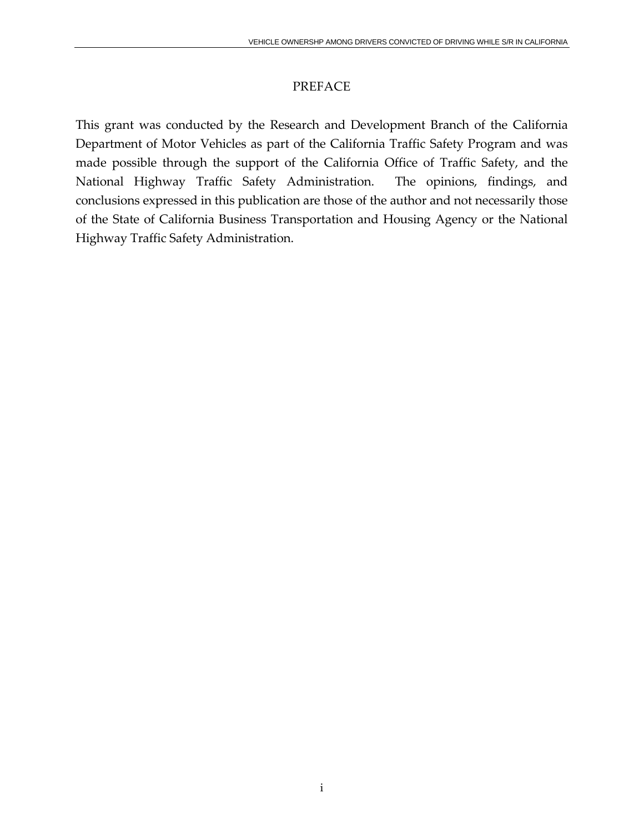#### PREFACE

This grant was conducted by the Research and Development Branch of the California Department of Motor Vehicles as part of the California Traffic Safety Program and was made possible through the support of the California Office of Traffic Safety, and the National Highway Traffic Safety Administration. The opinions, findings, and conclusions expressed in this publication are those of the author and not necessarily those of the State of California Business Transportation and Housing Agency or the National Highway Traffic Safety Administration.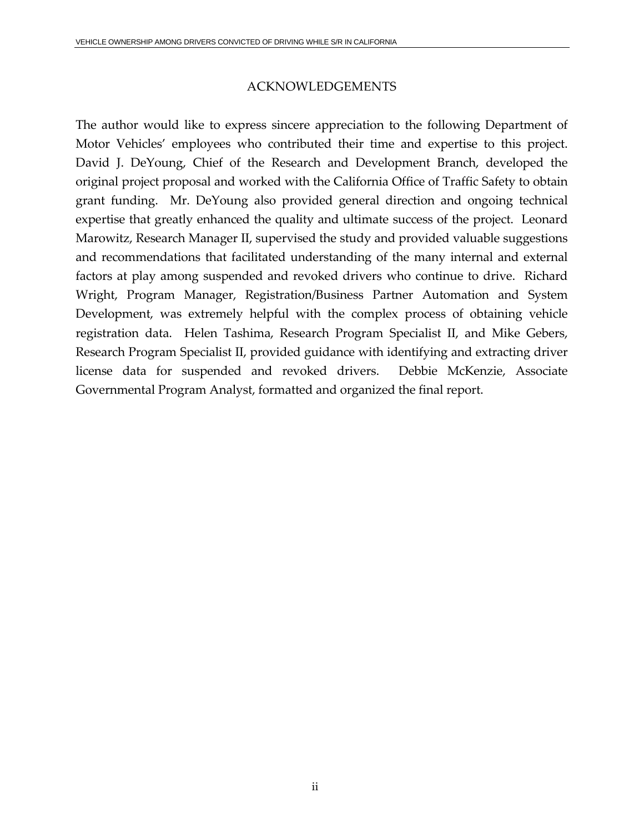#### ACKNOWLEDGEMENTS

The author would like to express sincere appreciation to the following Department of Motor Vehicles' employees who contributed their time and expertise to this project. David J. DeYoung, Chief of the Research and Development Branch, developed the original project proposal and worked with the California Office of Traffic Safety to obtain grant funding. Mr. DeYoung also provided general direction and ongoing technical expertise that greatly enhanced the quality and ultimate success of the project. Leonard Marowitz, Research Manager II, supervised the study and provided valuable suggestions and recommendations that facilitated understanding of the many internal and external factors at play among suspended and revoked drivers who continue to drive. Richard Wright, Program Manager, Registration/Business Partner Automation and System Development, was extremely helpful with the complex process of obtaining vehicle registration data. Helen Tashima, Research Program Specialist II, and Mike Gebers, Research Program Specialist II, provided guidance with identifying and extracting driver license data for suspended and revoked drivers. Debbie McKenzie, Associate Governmental Program Analyst, formatted and organized the final report.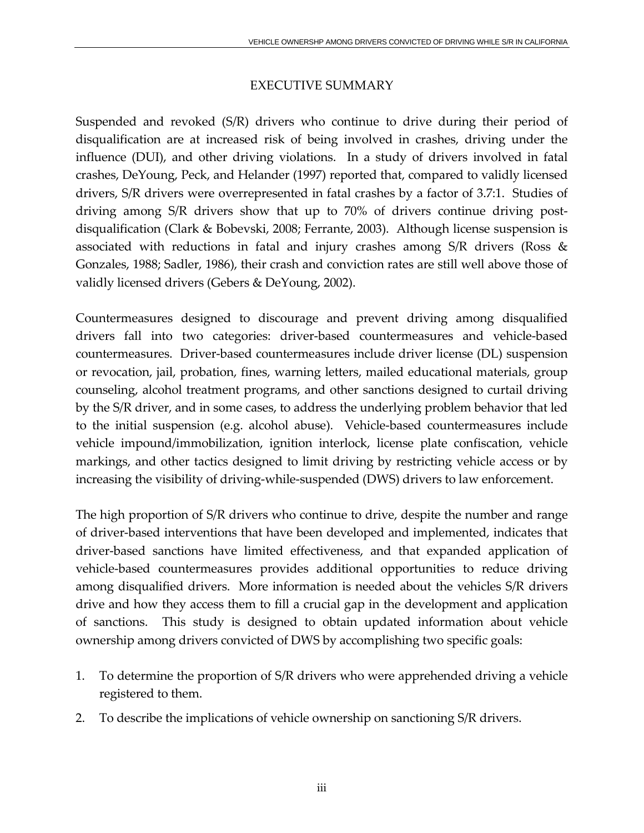#### EXECUTIVE SUMMARY

Suspended and revoked (S/R) drivers who continue to drive during their period of disqualification are at increased risk of being involved in crashes, driving under the influence (DUI), and other driving violations. In a study of drivers involved in fatal crashes, DeYoung, Peck, and Helander (1997) reported that, compared to validly licensed drivers, S/R drivers were overrepresented in fatal crashes by a factor of 3.7:1. Studies of driving among S/R drivers show that up to 70% of drivers continue driving post‐ disqualification (Clark & Bobevski, 2008; Ferrante, 2003). Although license suspension is associated with reductions in fatal and injury crashes among S/R drivers (Ross & Gonzales, 1988; Sadler, 1986), their crash and conviction rates are still well above those of validly licensed drivers (Gebers & DeYoung, 2002).

Countermeasures designed to discourage and prevent driving among disqualified drivers fall into two categories: driver‐based countermeasures and vehicle‐based countermeasures. Driver‐based countermeasures include driver license (DL) suspension or revocation, jail, probation, fines, warning letters, mailed educational materials, group counseling, alcohol treatment programs, and other sanctions designed to curtail driving by the S/R driver, and in some cases, to address the underlying problem behavior that led to the initial suspension (e.g. alcohol abuse). Vehicle‐based countermeasures include vehicle impound/immobilization, ignition interlock, license plate confiscation, vehicle markings, and other tactics designed to limit driving by restricting vehicle access or by increasing the visibility of driving‐while‐suspended (DWS) drivers to law enforcement.

The high proportion of S/R drivers who continue to drive, despite the number and range of driver‐based interventions that have been developed and implemented, indicates that driver-based sanctions have limited effectiveness, and that expanded application of vehicle-based countermeasures provides additional opportunities to reduce driving among disqualified drivers. More information is needed about the vehicles S/R drivers drive and how they access them to fill a crucial gap in the development and application of sanctions. This study is designed to obtain updated information about vehicle ownership among drivers convicted of DWS by accomplishing two specific goals:

- 1. To determine the proportion of S/R drivers who were apprehended driving a vehicle registered to them.
- 2. To describe the implications of vehicle ownership on sanctioning S/R drivers.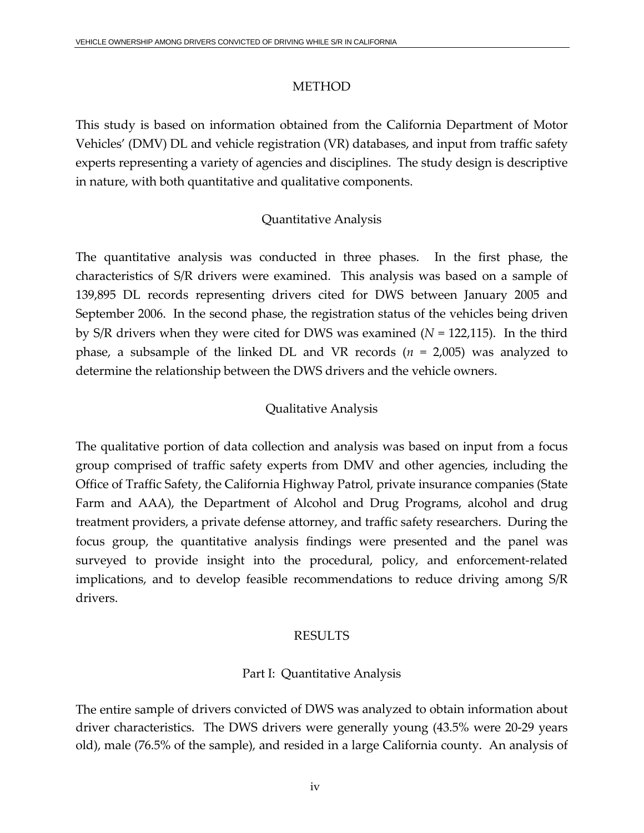#### METHOD

This study is based on information obtained from the California Department of Motor Vehicles' (DMV) DL and vehicle registration (VR) databases, and input from traffic safety experts representing a variety of agencies and disciplines. The study design is descriptive in nature, with both quantitative and qualitative components.

#### Quantitative Analysis

The quantitative analysis was conducted in three phases. In the first phase, the characteristics of S/R drivers were examined. This analysis was based on a sample of 139,895 DL records representing drivers cited for DWS between January 2005 and September 2006. In the second phase, the registration status of the vehicles being driven by S/R drivers when they were cited for DWS was examined (*N* = 122,115). In the third phase, a subsample of the linked DL and VR records (*n* = 2,005) was analyzed to determine the relationship between the DWS drivers and the vehicle owners.

#### Qualitative Analysis

The qualitative portion of data collection and analysis was based on input from a focus group comprised of traffic safety experts from DMV and other agencies, including the Office of Traffic Safety, the California Highway Patrol, private insurance companies (State Farm and AAA), the Department of Alcohol and Drug Programs, alcohol and drug treatment providers, a private defense attorney, and traffic safety researchers. During the focus group, the quantitative analysis findings were presented and the panel was surveyed to provide insight into the procedural, policy, and enforcement-related implications, and to develop feasible recommendations to reduce driving among S/R drivers.

#### RESULTS

#### Part I: Quantitative Analysis

The entire sample of drivers convicted of DWS was analyzed to obtain information about driver characteristics. The DWS drivers were generally young (43.5% were 20‐29 years old), male (76.5% of the sample), and resided in a large California county. An analysis of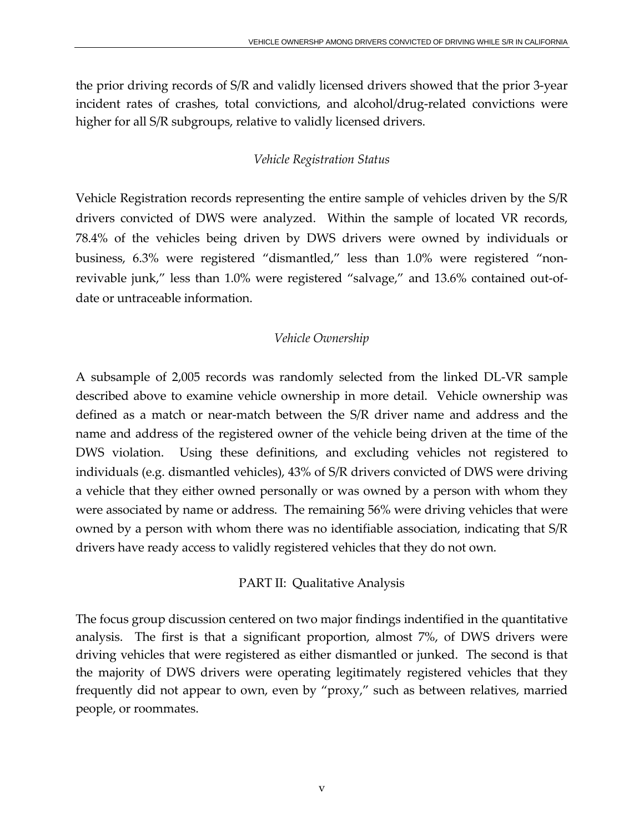the prior driving records of S/R and validly licensed drivers showed that the prior 3‐year incident rates of crashes, total convictions, and alcohol/drug-related convictions were higher for all S/R subgroups, relative to validly licensed drivers.

## *Vehicle Registration Status*

Vehicle Registration records representing the entire sample of vehicles driven by the S/R drivers convicted of DWS were analyzed. Within the sample of located VR records, 78.4% of the vehicles being driven by DWS drivers were owned by individuals or business, 6.3% were registered "dismantled," less than 1.0% were registered "non‐ revivable junk," less than 1.0% were registered "salvage," and 13.6% contained out‐of‐ date or untraceable information.

# *Vehicle Ownership*

A subsample of 2,005 records was randomly selected from the linked DL‐VR sample described above to examine vehicle ownership in more detail. Vehicle ownership was defined as a match or near‐match between the S/R driver name and address and the name and address of the registered owner of the vehicle being driven at the time of the DWS violation. Using these definitions, and excluding vehicles not registered to individuals (e.g. dismantled vehicles), 43% of S/R drivers convicted of DWS were driving a vehicle that they either owned personally or was owned by a person with whom they were associated by name or address. The remaining 56% were driving vehicles that were owned by a person with whom there was no identifiable association, indicating that S/R drivers have ready access to validly registered vehicles that they do not own.

## PART II: Qualitative Analysis

The focus group discussion centered on two major findings indentified in the quantitative analysis. The first is that a significant proportion, almost 7%, of DWS drivers were driving vehicles that were registered as either dismantled or junked. The second is that the majority of DWS drivers were operating legitimately registered vehicles that they frequently did not appear to own, even by "proxy," such as between relatives, married people, or roommates.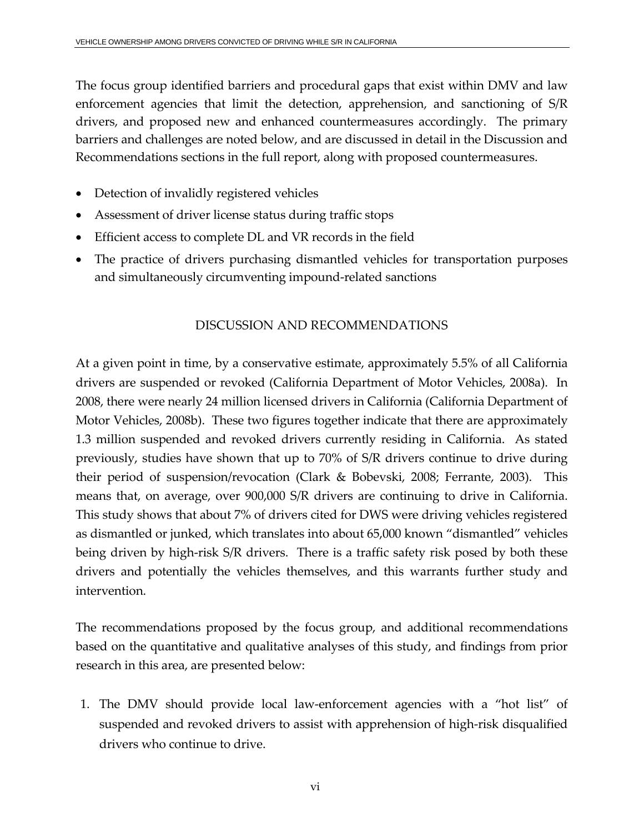The focus group identified barriers and procedural gaps that exist within DMV and law enforcement agencies that limit the detection, apprehension, and sanctioning of S/R drivers, and proposed new and enhanced countermeasures accordingly. The primary barriers and challenges are noted below, and are discussed in detail in the Discussion and Recommendations sections in the full report, along with proposed countermeasures.

- Detection of invalidly registered vehicles
- Assessment of driver license status during traffic stops
- Efficient access to complete DL and VR records in the field
- The practice of drivers purchasing dismantled vehicles for transportation purposes and simultaneously circumventing impound‐related sanctions

## DISCUSSION AND RECOMMENDATIONS

At a given point in time, by a conservative estimate, approximately 5.5% of all California drivers are suspended or revoked (California Department of Motor Vehicles, 2008a). In 2008, there were nearly 24 million licensed drivers in California (California Department of Motor Vehicles, 2008b). These two figures together indicate that there are approximately 1.3 million suspended and revoked drivers currently residing in California. As stated previously, studies have shown that up to 70% of S/R drivers continue to drive during their period of suspension/revocation (Clark & Bobevski, 2008; Ferrante, 2003). This means that, on average, over 900,000 S/R drivers are continuing to drive in California. This study shows that about 7% of drivers cited for DWS were driving vehicles registered as dismantled or junked, which translates into about 65,000 known "dismantled" vehicles being driven by high-risk S/R drivers. There is a traffic safety risk posed by both these drivers and potentially the vehicles themselves, and this warrants further study and intervention.

The recommendations proposed by the focus group, and additional recommendations based on the quantitative and qualitative analyses of this study, and findings from prior research in this area, are presented below:

1. The DMV should provide local law‐enforcement agencies with a "hot list" of suspended and revoked drivers to assist with apprehension of high-risk disqualified drivers who continue to drive.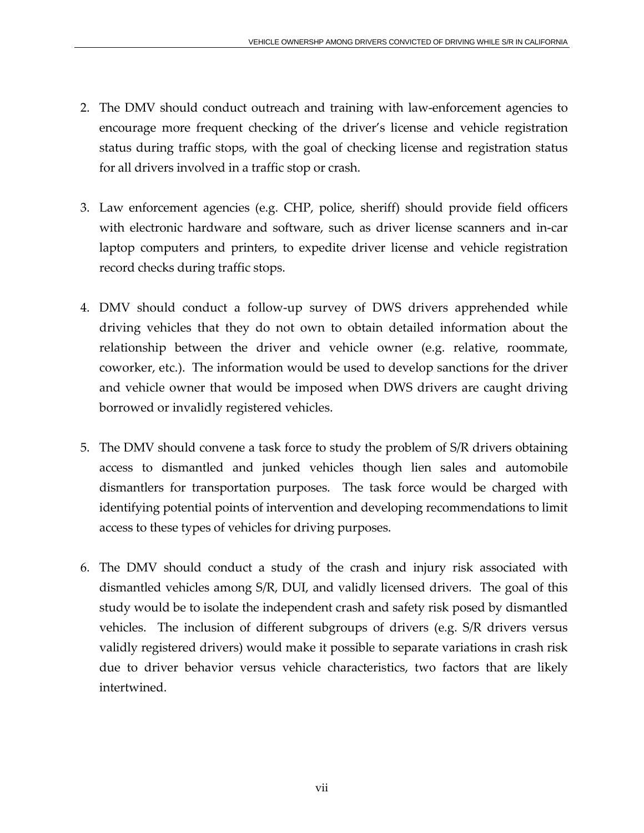- 2. The DMV should conduct outreach and training with law‐enforcement agencies to encourage more frequent checking of the driver's license and vehicle registration status during traffic stops, with the goal of checking license and registration status for all drivers involved in a traffic stop or crash.
- 3. Law enforcement agencies (e.g. CHP, police, sheriff) should provide field officers with electronic hardware and software, such as driver license scanners and in‐car laptop computers and printers, to expedite driver license and vehicle registration record checks during traffic stops.
- 4. DMV should conduct a follow‐up survey of DWS drivers apprehended while driving vehicles that they do not own to obtain detailed information about the relationship between the driver and vehicle owner (e.g. relative, roommate, coworker, etc.). The information would be used to develop sanctions for the driver and vehicle owner that would be imposed when DWS drivers are caught driving borrowed or invalidly registered vehicles.
- 5. The DMV should convene a task force to study the problem of S/R drivers obtaining access to dismantled and junked vehicles though lien sales and automobile dismantlers for transportation purposes. The task force would be charged with identifying potential points of intervention and developing recommendations to limit access to these types of vehicles for driving purposes.
- 6. The DMV should conduct a study of the crash and injury risk associated with dismantled vehicles among S/R, DUI, and validly licensed drivers. The goal of this study would be to isolate the independent crash and safety risk posed by dismantled vehicles. The inclusion of different subgroups of drivers (e.g. S/R drivers versus validly registered drivers) would make it possible to separate variations in crash risk due to driver behavior versus vehicle characteristics, two factors that are likely intertwined.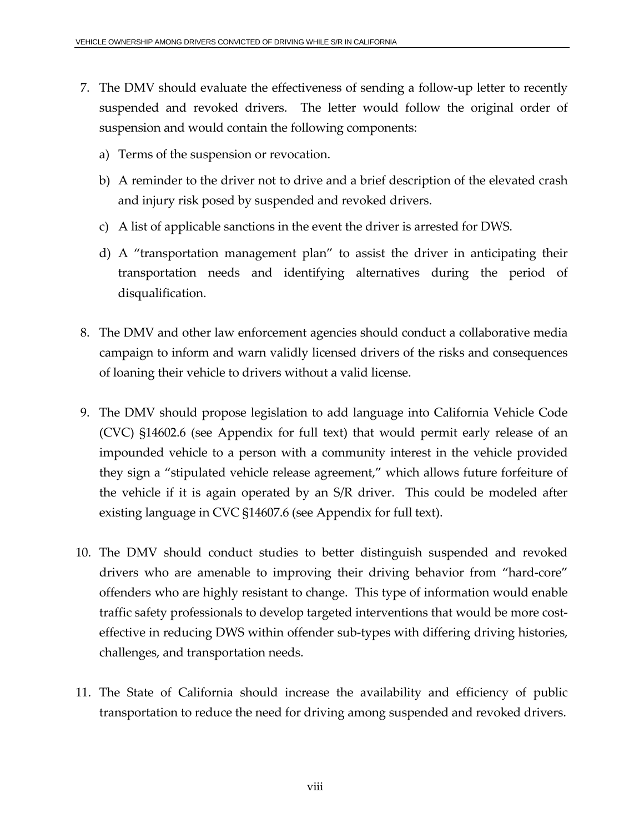- 7. The DMV should evaluate the effectiveness of sending a follow‐up letter to recently suspended and revoked drivers. The letter would follow the original order of suspension and would contain the following components:
	- a) Terms of the suspension or revocation.
	- b) A reminder to the driver not to drive and a brief description of the elevated crash and injury risk posed by suspended and revoked drivers.
	- c) A list of applicable sanctions in the event the driver is arrested for DWS.
	- d) A "transportation management plan" to assist the driver in anticipating their transportation needs and identifying alternatives during the period of disqualification.
- 8. The DMV and other law enforcement agencies should conduct a collaborative media campaign to inform and warn validly licensed drivers of the risks and consequences of loaning their vehicle to drivers without a valid license.
- 9. The DMV should propose legislation to add language into California Vehicle Code (CVC) §14602.6 (see Appendix for full text) that would permit early release of an impounded vehicle to a person with a community interest in the vehicle provided they sign a "stipulated vehicle release agreement," which allows future forfeiture of the vehicle if it is again operated by an S/R driver. This could be modeled after existing language in CVC §14607.6 (see Appendix for full text).
- 10. The DMV should conduct studies to better distinguish suspended and revoked drivers who are amenable to improving their driving behavior from "hard‐core" offenders who are highly resistant to change. This type of information would enable traffic safety professionals to develop targeted interventions that would be more cost‐ effective in reducing DWS within offender sub‐types with differing driving histories, challenges, and transportation needs.
- 11. The State of California should increase the availability and efficiency of public transportation to reduce the need for driving among suspended and revoked drivers.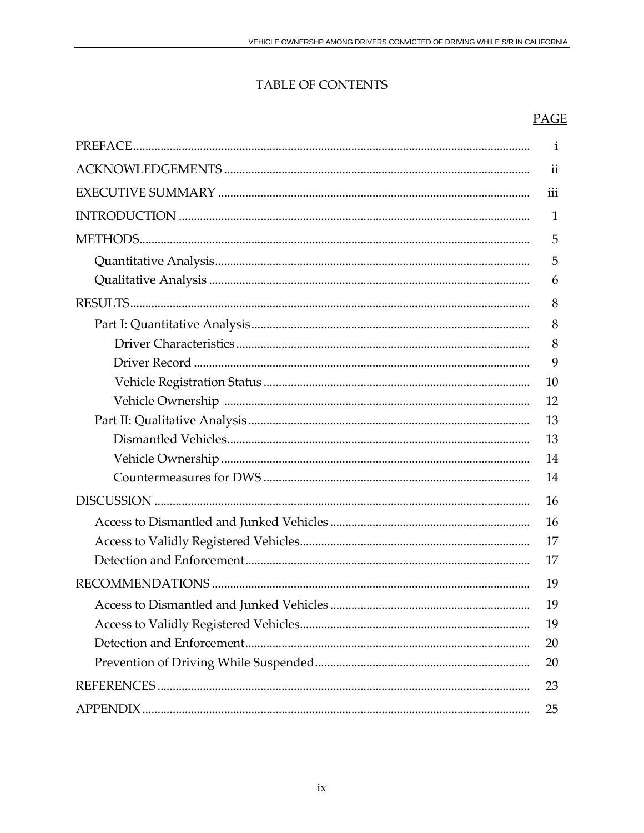# TABLE OF CONTENTS

# **PAGE**

|    | $\mathbf{i}$  |  |
|----|---------------|--|
|    | $\mathbf{ii}$ |  |
|    | iii           |  |
|    | $\mathbf{1}$  |  |
|    | 5             |  |
|    | 5             |  |
|    | 6             |  |
|    | 8             |  |
|    | 8             |  |
|    | 8             |  |
|    | 9             |  |
|    | 10            |  |
|    | 12            |  |
|    | 13            |  |
|    | 13            |  |
|    | 14            |  |
|    | 14            |  |
|    | 16            |  |
|    | 16            |  |
|    | 17            |  |
|    | 17            |  |
|    | 19            |  |
|    | 19            |  |
|    | 19            |  |
|    | 20            |  |
|    | 20            |  |
|    | 23            |  |
| 25 |               |  |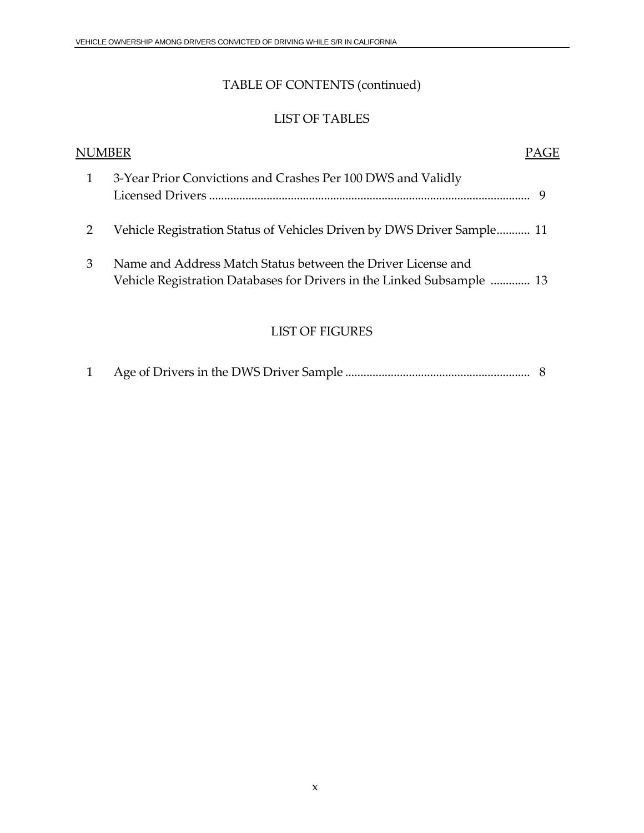# TABLE OF CONTENTS (continued)

# LIST OF TABLES

| NUMBER       |                                                                                                                                        |  |
|--------------|----------------------------------------------------------------------------------------------------------------------------------------|--|
| $\mathbf{1}$ | 3-Year Prior Convictions and Crashes Per 100 DWS and Validly                                                                           |  |
| 2            | Vehicle Registration Status of Vehicles Driven by DWS Driver Sample 11                                                                 |  |
| 3            | Name and Address Match Status between the Driver License and<br>Vehicle Registration Databases for Drivers in the Linked Subsample  13 |  |
|              | LIST OF FIGURES                                                                                                                        |  |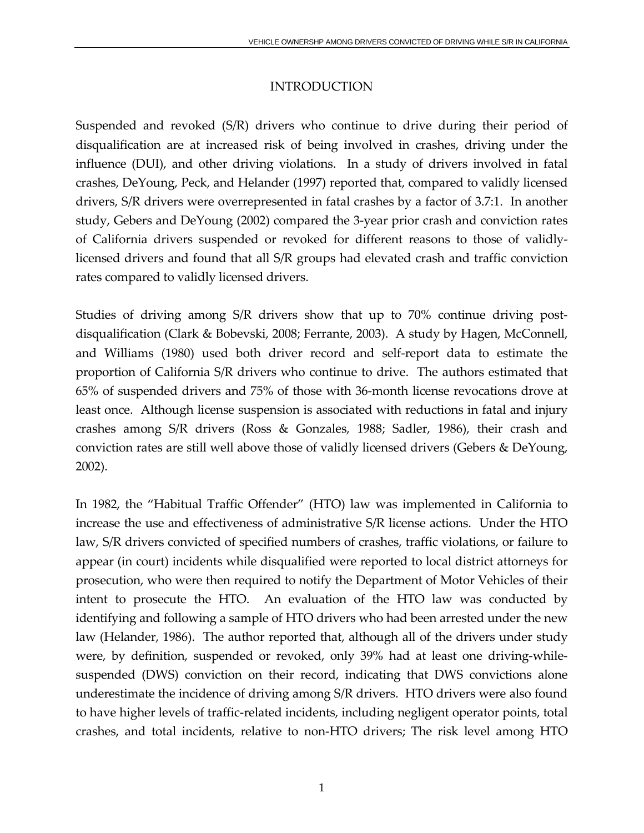# INTRODUCTION

Suspended and revoked (S/R) drivers who continue to drive during their period of disqualification are at increased risk of being involved in crashes, driving under the influence (DUI), and other driving violations. In a study of drivers involved in fatal crashes, DeYoung, Peck, and Helander (1997) reported that, compared to validly licensed drivers, S/R drivers were overrepresented in fatal crashes by a factor of 3.7:1. In another study, Gebers and DeYoung (2002) compared the 3‐year prior crash and conviction rates of California drivers suspended or revoked for different reasons to those of validly‐ licensed drivers and found that all S/R groups had elevated crash and traffic conviction rates compared to validly licensed drivers.

Studies of driving among S/R drivers show that up to 70% continue driving post‐ disqualification (Clark & Bobevski, 2008; Ferrante, 2003). A study by Hagen, McConnell, and Williams (1980) used both driver record and self‐report data to estimate the proportion of California S/R drivers who continue to drive. The authors estimated that 65% of suspended drivers and 75% of those with 36‐month license revocations drove at least once. Although license suspension is associated with reductions in fatal and injury crashes among S/R drivers (Ross & Gonzales, 1988; Sadler, 1986), their crash and conviction rates are still well above those of validly licensed drivers (Gebers & DeYoung, 2002).

In 1982, the "Habitual Traffic Offender" (HTO) law was implemented in California to increase the use and effectiveness of administrative S/R license actions. Under the HTO law, S/R drivers convicted of specified numbers of crashes, traffic violations, or failure to appear (in court) incidents while disqualified were reported to local district attorneys for prosecution, who were then required to notify the Department of Motor Vehicles of their intent to prosecute the HTO. An evaluation of the HTO law was conducted by identifying and following a sample of HTO drivers who had been arrested under the new law (Helander, 1986). The author reported that, although all of the drivers under study were, by definition, suspended or revoked, only 39% had at least one driving-whilesuspended (DWS) conviction on their record, indicating that DWS convictions alone underestimate the incidence of driving among S/R drivers. HTO drivers were also found to have higher levels of traffic‐related incidents, including negligent operator points, total crashes, and total incidents, relative to non‐HTO drivers; The risk level among HTO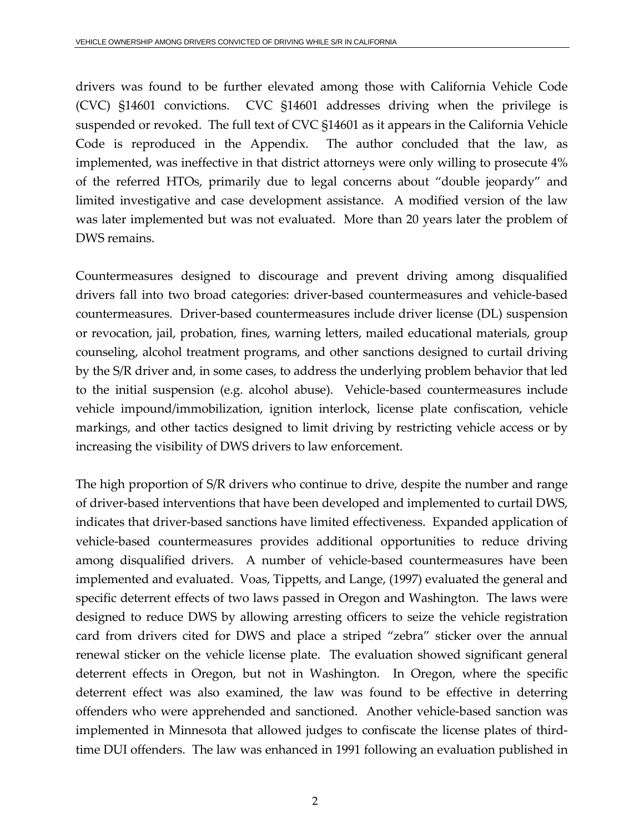drivers was found to be further elevated among those with California Vehicle Code (CVC) §14601 convictions. CVC §14601 addresses driving when the privilege is suspended or revoked. The full text of CVC §14601 as it appears in the California Vehicle Code is reproduced in the Appendix. The author concluded that the law, as implemented, was ineffective in that district attorneys were only willing to prosecute 4% of the referred HTOs, primarily due to legal concerns about "double jeopardy" and limited investigative and case development assistance. A modified version of the law was later implemented but was not evaluated. More than 20 years later the problem of DWS remains.

Countermeasures designed to discourage and prevent driving among disqualified drivers fall into two broad categories: driver‐based countermeasures and vehicle‐based countermeasures. Driver‐based countermeasures include driver license (DL) suspension or revocation, jail, probation, fines, warning letters, mailed educational materials, group counseling, alcohol treatment programs, and other sanctions designed to curtail driving by the S/R driver and, in some cases, to address the underlying problem behavior that led to the initial suspension (e.g. alcohol abuse). Vehicle‐based countermeasures include vehicle impound/immobilization, ignition interlock, license plate confiscation, vehicle markings, and other tactics designed to limit driving by restricting vehicle access or by increasing the visibility of DWS drivers to law enforcement.

The high proportion of S/R drivers who continue to drive, despite the number and range of driver‐based interventions that have been developed and implemented to curtail DWS, indicates that driver-based sanctions have limited effectiveness. Expanded application of vehicle-based countermeasures provides additional opportunities to reduce driving among disqualified drivers. A number of vehicle-based countermeasures have been implemented and evaluated. Voas, Tippetts, and Lange, (1997) evaluated the general and specific deterrent effects of two laws passed in Oregon and Washington. The laws were designed to reduce DWS by allowing arresting officers to seize the vehicle registration card from drivers cited for DWS and place a striped "zebra" sticker over the annual renewal sticker on the vehicle license plate. The evaluation showed significant general deterrent effects in Oregon, but not in Washington. In Oregon, where the specific deterrent effect was also examined, the law was found to be effective in deterring offenders who were apprehended and sanctioned. Another vehicle‐based sanction was implemented in Minnesota that allowed judges to confiscate the license plates of thirdtime DUI offenders. The law was enhanced in 1991 following an evaluation published in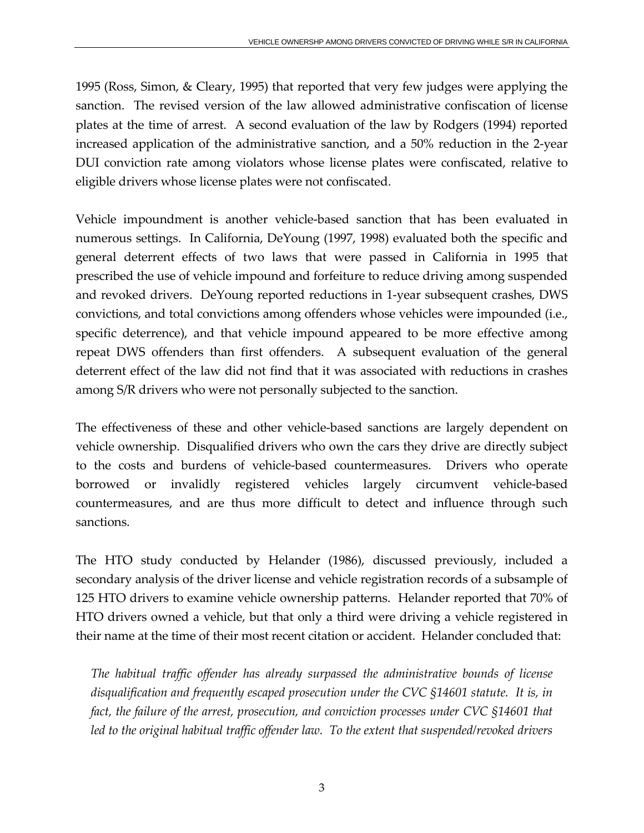1995 (Ross, Simon, & Cleary, 1995) that reported that very few judges were applying the sanction. The revised version of the law allowed administrative confiscation of license plates at the time of arrest. A second evaluation of the law by Rodgers (1994) reported increased application of the administrative sanction, and a 50% reduction in the 2‐year DUI conviction rate among violators whose license plates were confiscated, relative to eligible drivers whose license plates were not confiscated.

Vehicle impoundment is another vehicle‐based sanction that has been evaluated in numerous settings. In California, DeYoung (1997, 1998) evaluated both the specific and general deterrent effects of two laws that were passed in California in 1995 that prescribed the use of vehicle impound and forfeiture to reduce driving among suspended and revoked drivers. DeYoung reported reductions in 1‐year subsequent crashes, DWS convictions, and total convictions among offenders whose vehicles were impounded (i.e., specific deterrence), and that vehicle impound appeared to be more effective among repeat DWS offenders than first offenders. A subsequent evaluation of the general deterrent effect of the law did not find that it was associated with reductions in crashes among S/R drivers who were not personally subjected to the sanction.

The effectiveness of these and other vehicle-based sanctions are largely dependent on vehicle ownership. Disqualified drivers who own the cars they drive are directly subject to the costs and burdens of vehicle‐based countermeasures. Drivers who operate borrowed or invalidly registered vehicles largely circumvent vehicle-based countermeasures, and are thus more difficult to detect and influence through such sanctions.

The HTO study conducted by Helander (1986), discussed previously, included a secondary analysis of the driver license and vehicle registration records of a subsample of 125 HTO drivers to examine vehicle ownership patterns. Helander reported that 70% of HTO drivers owned a vehicle, but that only a third were driving a vehicle registered in their name at the time of their most recent citation or accident. Helander concluded that:

*The habitual traffic offender has already surpassed the administrative bounds of license disqualification and frequently escaped prosecution under the CVC §14601 statute. It is, in fact, the failure of the arrest, prosecution, and conviction processes under CVC §14601 that led to the original habitual traffic offender law. To the extent that suspended/revoked drivers*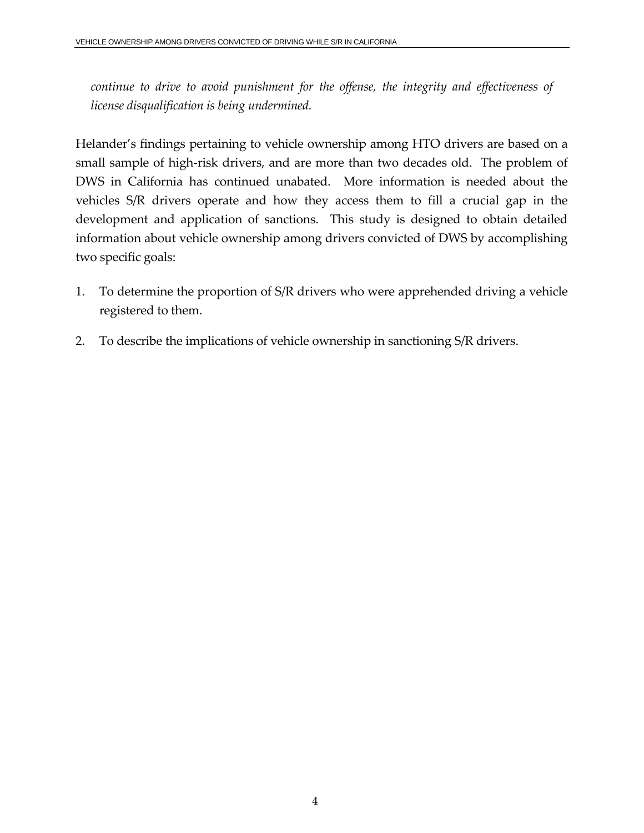*continue to drive to avoid punishment for the offense, the integrity and effectiveness of license disqualification is being undermined.* 

Helander's findings pertaining to vehicle ownership among HTO drivers are based on a small sample of high-risk drivers, and are more than two decades old. The problem of DWS in California has continued unabated. More information is needed about the vehicles S/R drivers operate and how they access them to fill a crucial gap in the development and application of sanctions. This study is designed to obtain detailed information about vehicle ownership among drivers convicted of DWS by accomplishing two specific goals:

- 1. To determine the proportion of S/R drivers who were apprehended driving a vehicle registered to them.
- 2. To describe the implications of vehicle ownership in sanctioning S/R drivers.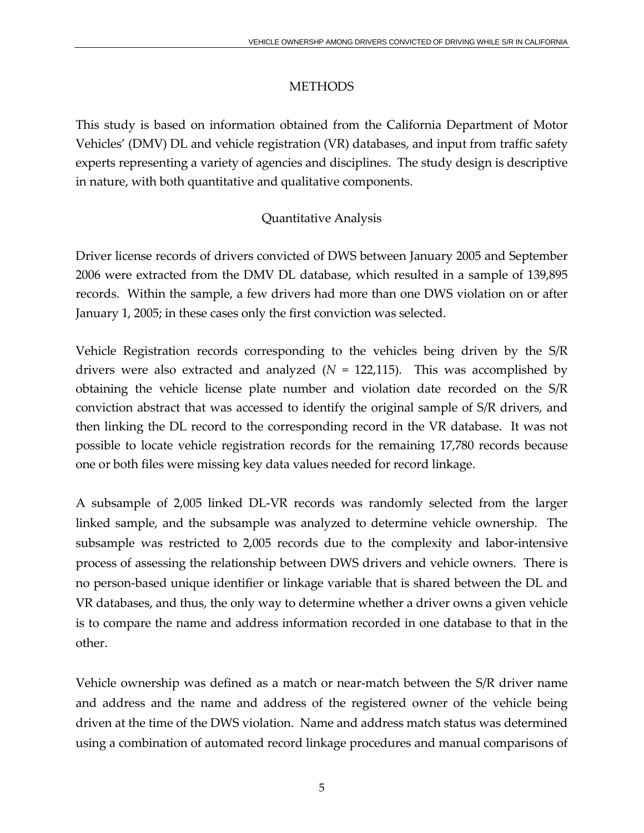# **METHODS**

This study is based on information obtained from the California Department of Motor Vehicles' (DMV) DL and vehicle registration (VR) databases, and input from traffic safety experts representing a variety of agencies and disciplines. The study design is descriptive in nature, with both quantitative and qualitative components.

# Quantitative Analysis

Driver license records of drivers convicted of DWS between January 2005 and September 2006 were extracted from the DMV DL database, which resulted in a sample of 139,895 records. Within the sample, a few drivers had more than one DWS violation on or after January 1, 2005; in these cases only the first conviction was selected.

Vehicle Registration records corresponding to the vehicles being driven by the S/R drivers were also extracted and analyzed  $(N = 122,115)$ . This was accomplished by obtaining the vehicle license plate number and violation date recorded on the S/R conviction abstract that was accessed to identify the original sample of S/R drivers, and then linking the DL record to the corresponding record in the VR database. It was not possible to locate vehicle registration records for the remaining 17,780 records because one or both files were missing key data values needed for record linkage.

A subsample of 2,005 linked DL‐VR records was randomly selected from the larger linked sample, and the subsample was analyzed to determine vehicle ownership. The subsample was restricted to 2,005 records due to the complexity and labor‐intensive process of assessing the relationship between DWS drivers and vehicle owners. There is no person‐based unique identifier or linkage variable that is shared between the DL and VR databases, and thus, the only way to determine whether a driver owns a given vehicle is to compare the name and address information recorded in one database to that in the other.

Vehicle ownership was defined as a match or near-match between the S/R driver name and address and the name and address of the registered owner of the vehicle being driven at the time of the DWS violation. Name and address match status was determined using a combination of automated record linkage procedures and manual comparisons of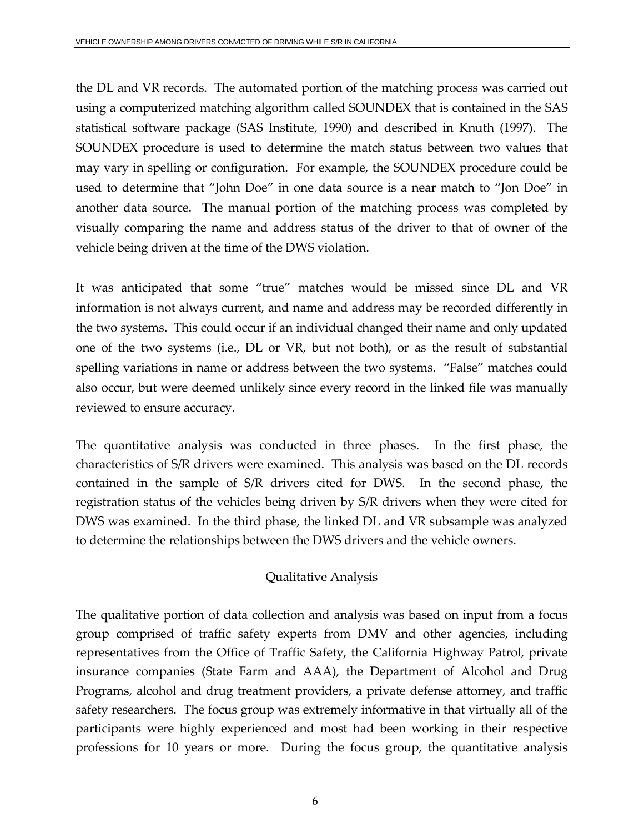the DL and VR records. The automated portion of the matching process was carried out using a computerized matching algorithm called SOUNDEX that is contained in the SAS statistical software package (SAS Institute, 1990) and described in Knuth (1997). The SOUNDEX procedure is used to determine the match status between two values that may vary in spelling or configuration. For example, the SOUNDEX procedure could be used to determine that "John Doe" in one data source is a near match to "Jon Doe" in another data source. The manual portion of the matching process was completed by visually comparing the name and address status of the driver to that of owner of the vehicle being driven at the time of the DWS violation.

It was anticipated that some "true" matches would be missed since DL and VR information is not always current, and name and address may be recorded differently in the two systems. This could occur if an individual changed their name and only updated one of the two systems (i.e., DL or VR, but not both), or as the result of substantial spelling variations in name or address between the two systems. "False" matches could also occur, but were deemed unlikely since every record in the linked file was manually reviewed to ensure accuracy.

The quantitative analysis was conducted in three phases. In the first phase, the characteristics of S/R drivers were examined. This analysis was based on the DL records contained in the sample of S/R drivers cited for DWS. In the second phase, the registration status of the vehicles being driven by S/R drivers when they were cited for DWS was examined. In the third phase, the linked DL and VR subsample was analyzed to determine the relationships between the DWS drivers and the vehicle owners.

# Qualitative Analysis

The qualitative portion of data collection and analysis was based on input from a focus group comprised of traffic safety experts from DMV and other agencies, including representatives from the Office of Traffic Safety, the California Highway Patrol, private insurance companies (State Farm and AAA), the Department of Alcohol and Drug Programs, alcohol and drug treatment providers, a private defense attorney, and traffic safety researchers. The focus group was extremely informative in that virtually all of the participants were highly experienced and most had been working in their respective professions for 10 years or more. During the focus group, the quantitative analysis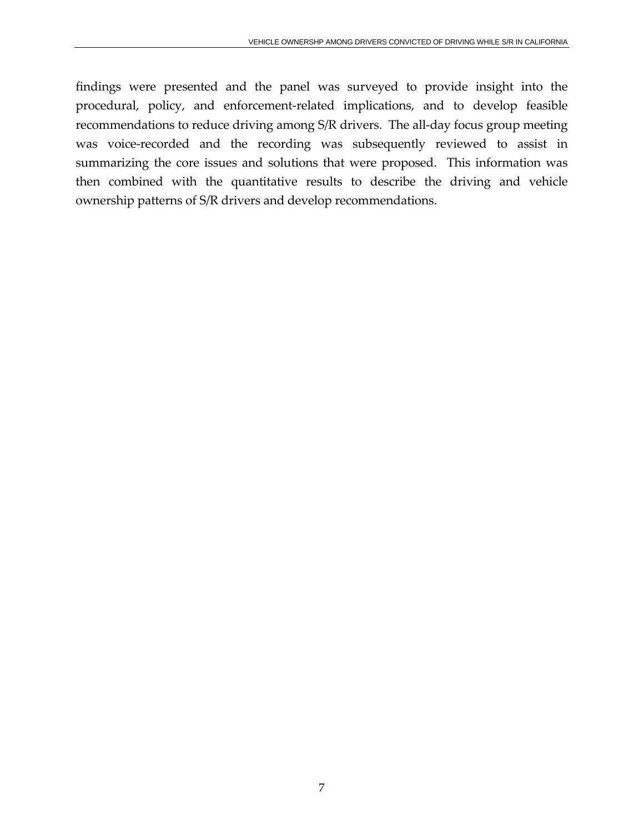findings were presented and the panel was surveyed to provide insight into the procedural, policy, and enforcement‐related implications, and to develop feasible recommendations to reduce driving among S/R drivers. The all-day focus group meeting was voice‐recorded and the recording was subsequently reviewed to assist in summarizing the core issues and solutions that were proposed. This information was then combined with the quantitative results to describe the driving and vehicle ownership patterns of S/R drivers and develop recommendations.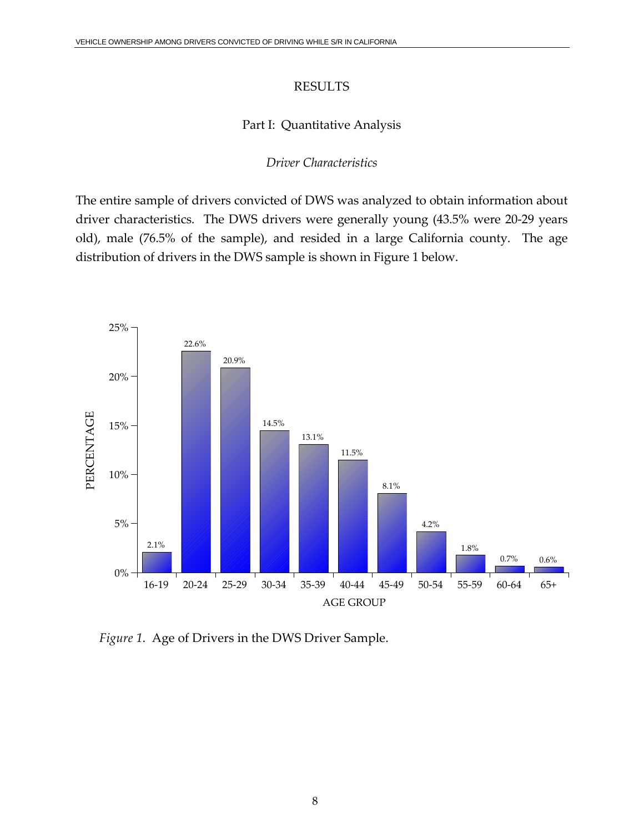#### RESULTS

## Part I: Quantitative Analysis

#### *Driver Characteristics*

The entire sample of drivers convicted of DWS was analyzed to obtain information about driver characteristics. The DWS drivers were generally young (43.5% were 20‐29 years old), male (76.5% of the sample), and resided in a large California county. The age distribution of drivers in the DWS sample is shown in Figure 1 below.



*Figure 1*. Age of Drivers in the DWS Driver Sample.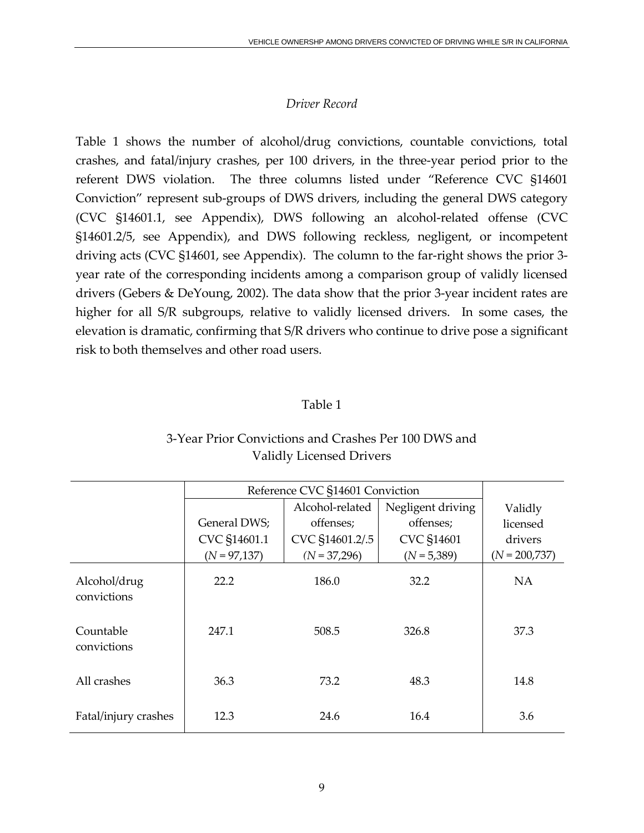## *Driver Record*

Table 1 shows the number of alcohol/drug convictions, countable convictions, total crashes, and fatal/injury crashes, per 100 drivers, in the three‐year period prior to the referent DWS violation. The three columns listed under "Reference CVC §14601 Conviction" represent sub‐groups of DWS drivers, including the general DWS category (CVC §14601.1, see Appendix), DWS following an alcohol‐related offense (CVC §14601.2/5, see Appendix), and DWS following reckless, negligent, or incompetent driving acts (CVC §14601, see Appendix). The column to the far‐right shows the prior 3‐ year rate of the corresponding incidents among a comparison group of validly licensed drivers (Gebers & DeYoung, 2002). The data show that the prior 3‐year incident rates are higher for all S/R subgroups, relative to validly licensed drivers. In some cases, the elevation is dramatic, confirming that S/R drivers who continue to drive pose a significant risk to both themselves and other road users.

## Table 1

|                             | Reference CVC §14601 Conviction |                 |                   |                 |
|-----------------------------|---------------------------------|-----------------|-------------------|-----------------|
|                             |                                 | Alcohol-related | Negligent driving | Validly         |
|                             | General DWS;                    | offenses;       | offenses;         | licensed        |
|                             | CVC §14601.1                    | CVC §14601.2/.5 | <b>CVC §14601</b> | drivers         |
|                             | $(N = 97,137)$                  | $(N = 37,296)$  | $(N = 5,389)$     | $(N = 200,737)$ |
| Alcohol/drug<br>convictions | 22.2                            | 186.0           | 32.2              | <b>NA</b>       |
| Countable<br>convictions    | 247.1                           | 508.5           | 326.8             | 37.3            |
| All crashes                 | 36.3                            | 73.2            | 48.3              | 14.8            |
| Fatal/injury crashes        | 12.3                            | 24.6            | 16.4              | 3.6             |

# 3‐Year Prior Convictions and Crashes Per 100 DWS and Validly Licensed Drivers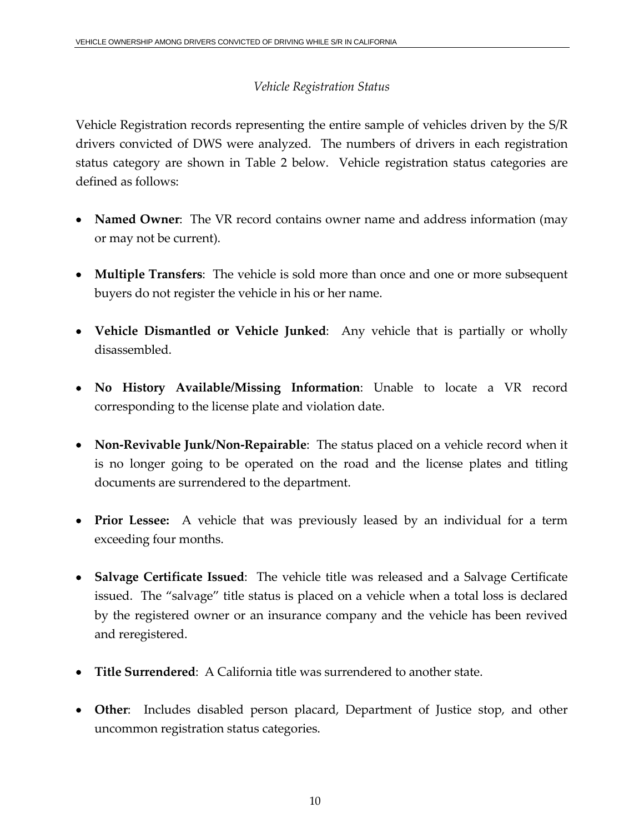## *Vehicle Registration Status*

Vehicle Registration records representing the entire sample of vehicles driven by the S/R drivers convicted of DWS were analyzed. The numbers of drivers in each registration status category are shown in Table 2 below. Vehicle registration status categories are defined as follows:

- **Named Owner**: The VR record contains owner name and address information (may or may not be current).
- **Multiple Transfers**: The vehicle is sold more than once and one or more subsequent buyers do not register the vehicle in his or her name.
- **Vehicle Dismantled or Vehicle Junked**: Any vehicle that is partially or wholly disassembled.
- **No History Available/Missing Information**: Unable to locate a VR record corresponding to the license plate and violation date.
- **Non‐Revivable Junk/Non‐Repairable**: The status placed on a vehicle record when it is no longer going to be operated on the road and the license plates and titling documents are surrendered to the department.
- **Prior Lessee:**  A vehicle that was previously leased by an individual for a term exceeding four months.
- **Salvage Certificate Issued**: The vehicle title was released and a Salvage Certificate issued. The "salvage" title status is placed on a vehicle when a total loss is declared by the registered owner or an insurance company and the vehicle has been revived and reregistered.
- **Title Surrendered**: A California title was surrendered to another state.
- **Other**: Includes disabled person placard, Department of Justice stop, and other uncommon registration status categories.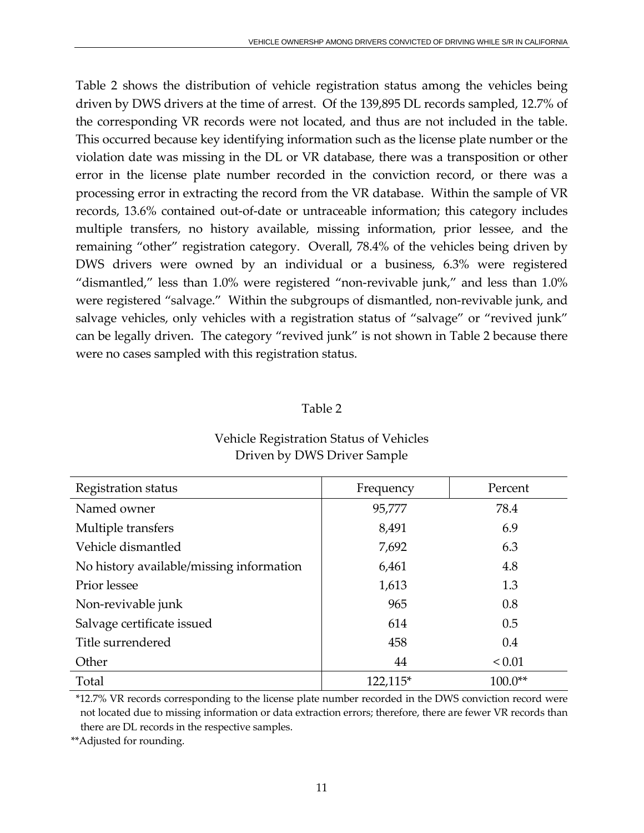Table 2 shows the distribution of vehicle registration status among the vehicles being driven by DWS drivers at the time of arrest. Of the 139,895 DL records sampled, 12.7% of the corresponding VR records were not located, and thus are not included in the table. This occurred because key identifying information such as the license plate number or the violation date was missing in the DL or VR database, there was a transposition or other error in the license plate number recorded in the conviction record, or there was a processing error in extracting the record from the VR database. Within the sample of VR records, 13.6% contained out‐of‐date or untraceable information; this category includes multiple transfers, no history available, missing information, prior lessee, and the remaining "other" registration category. Overall, 78.4% of the vehicles being driven by DWS drivers were owned by an individual or a business, 6.3% were registered "dismantled," less than 1.0% were registered "non‐revivable junk," and less than 1.0% were registered "salvage." Within the subgroups of dismantled, non-revivable junk, and salvage vehicles, only vehicles with a registration status of "salvage" or "revived junk" can be legally driven. The category "revived junk" is not shown in Table 2 because there were no cases sampled with this registration status.

## Table 2

| Registration status                      | Frequency | Percent     |
|------------------------------------------|-----------|-------------|
| Named owner                              | 95,777    | 78.4        |
| Multiple transfers                       | 8,491     | 6.9         |
| Vehicle dismantled                       | 7,692     | 6.3         |
| No history available/missing information | 6,461     | 4.8         |
| <b>Prior</b> lessee                      | 1,613     | 1.3         |
| Non-revivable junk                       | 965       | 0.8         |
| Salvage certificate issued               | 614       | 0.5         |
| Title surrendered                        | 458       | 0.4         |
| Other                                    | 44        | ${}_{0.01}$ |
| Total                                    | 122,115*  | $100.0**$   |

# Vehicle Registration Status of Vehicles Driven by DWS Driver Sample

\*12.7% VR records corresponding to the license plate number recorded in the DWS conviction record were not located due to missing information or data extraction errors; therefore, there are fewer VR records than there are DL records in the respective samples.

\*\*Adjusted for rounding.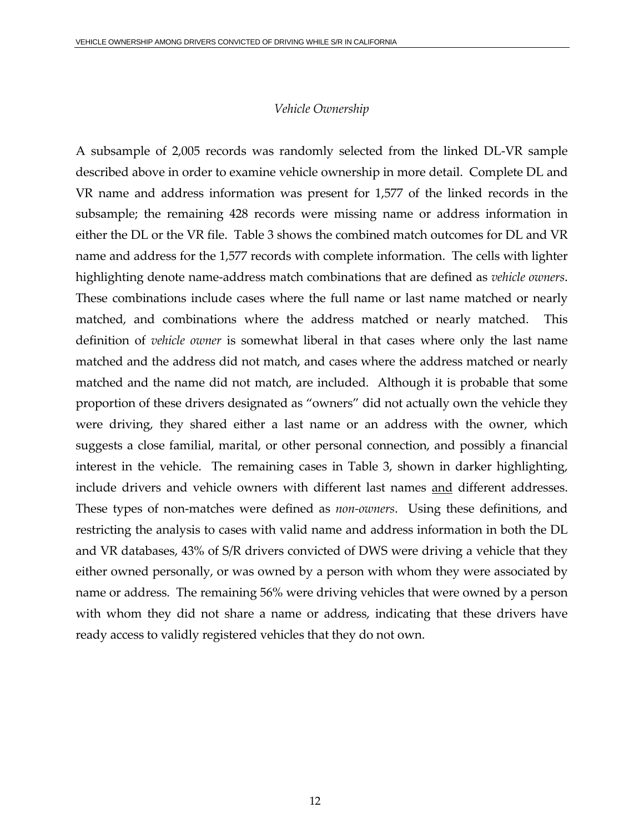#### *Vehicle Ownership*

A subsample of 2,005 records was randomly selected from the linked DL‐VR sample described above in order to examine vehicle ownership in more detail. Complete DL and VR name and address information was present for 1,577 of the linked records in the subsample; the remaining 428 records were missing name or address information in either the DL or the VR file. Table 3 shows the combined match outcomes for DL and VR name and address for the 1,577 records with complete information. The cells with lighter highlighting denote name‐address match combinations that are defined as *vehicle owners*. These combinations include cases where the full name or last name matched or nearly matched, and combinations where the address matched or nearly matched. This definition of *vehicle owner* is somewhat liberal in that cases where only the last name matched and the address did not match, and cases where the address matched or nearly matched and the name did not match, are included. Although it is probable that some proportion of these drivers designated as "owners" did not actually own the vehicle they were driving, they shared either a last name or an address with the owner, which suggests a close familial, marital, or other personal connection, and possibly a financial interest in the vehicle. The remaining cases in Table 3, shown in darker highlighting, include drivers and vehicle owners with different last names and different addresses. These types of non‐matches were defined as *non‐owners*. Using these definitions, and restricting the analysis to cases with valid name and address information in both the DL and VR databases, 43% of S/R drivers convicted of DWS were driving a vehicle that they either owned personally, or was owned by a person with whom they were associated by name or address. The remaining 56% were driving vehicles that were owned by a person with whom they did not share a name or address, indicating that these drivers have ready access to validly registered vehicles that they do not own.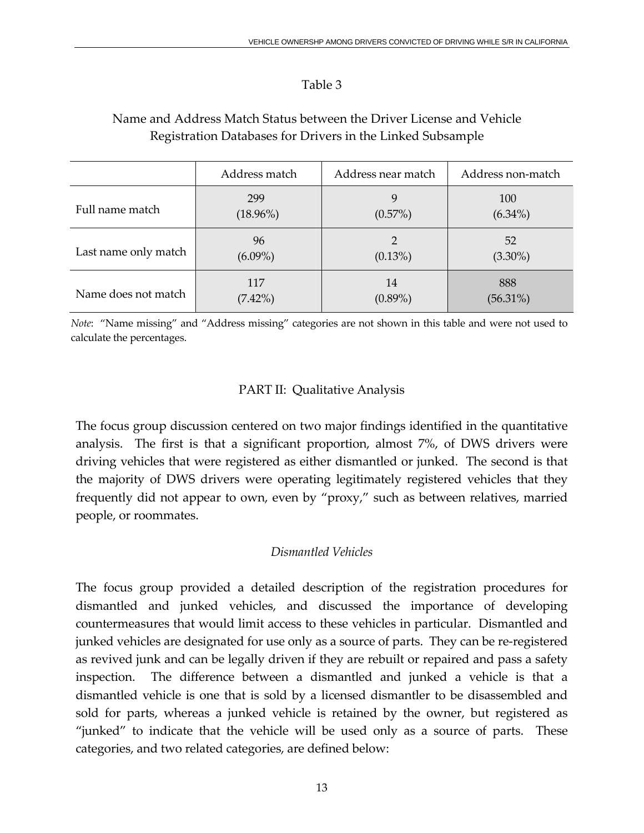## Table 3

## Name and Address Match Status between the Driver License and Vehicle Registration Databases for Drivers in the Linked Subsample

|                      | Address match    | Address near match | Address non-match |
|----------------------|------------------|--------------------|-------------------|
| Full name match      | 299              | 9                  | 100               |
|                      | $(18.96\%)$      | $(0.57\%)$         | $(6.34\%)$        |
| Last name only match | 96<br>$(6.09\%)$ | $(0.13\%)$         | 52<br>$(3.30\%)$  |
| Name does not match  | 117              | 14                 | 888               |
|                      | $(7.42\%)$       | $(0.89\%)$         | $(56.31\%)$       |

*Note*: "Name missing" and "Address missing" categories are not shown in this table and were not used to calculate the percentages.

## PART II: Qualitative Analysis

The focus group discussion centered on two major findings identified in the quantitative analysis. The first is that a significant proportion, almost 7%, of DWS drivers were driving vehicles that were registered as either dismantled or junked. The second is that the majority of DWS drivers were operating legitimately registered vehicles that they frequently did not appear to own, even by "proxy," such as between relatives, married people, or roommates.

## *Dismantled Vehicles*

The focus group provided a detailed description of the registration procedures for dismantled and junked vehicles, and discussed the importance of developing countermeasures that would limit access to these vehicles in particular. Dismantled and junked vehicles are designated for use only as a source of parts. They can be re‐registered as revived junk and can be legally driven if they are rebuilt or repaired and pass a safety inspection. The difference between a dismantled and junked a vehicle is that a dismantled vehicle is one that is sold by a licensed dismantler to be disassembled and sold for parts, whereas a junked vehicle is retained by the owner, but registered as "junked" to indicate that the vehicle will be used only as a source of parts. These categories, and two related categories, are defined below: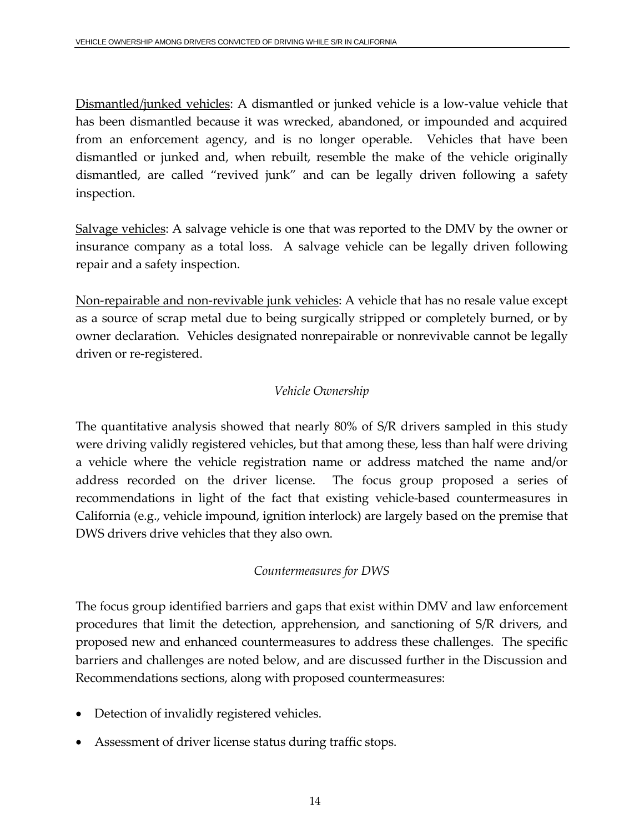Dismantled/junked vehicles: A dismantled or junked vehicle is a low-value vehicle that has been dismantled because it was wrecked, abandoned, or impounded and acquired from an enforcement agency, and is no longer operable. Vehicles that have been dismantled or junked and, when rebuilt, resemble the make of the vehicle originally dismantled, are called "revived junk" and can be legally driven following a safety inspection.

Salvage vehicles: A salvage vehicle is one that was reported to the DMV by the owner or insurance company as a total loss. A salvage vehicle can be legally driven following repair and a safety inspection.

Non-repairable and non-revivable junk vehicles: A vehicle that has no resale value except as a source of scrap metal due to being surgically stripped or completely burned, or by owner declaration. Vehicles designated nonrepairable or nonrevivable cannot be legally driven or re‐registered.

# *Vehicle Ownership*

The quantitative analysis showed that nearly 80% of S/R drivers sampled in this study were driving validly registered vehicles, but that among these, less than half were driving a vehicle where the vehicle registration name or address matched the name and/or address recorded on the driver license. The focus group proposed a series of recommendations in light of the fact that existing vehicle‐based countermeasures in California (e.g., vehicle impound, ignition interlock) are largely based on the premise that DWS drivers drive vehicles that they also own.

# *Countermeasures for DWS*

The focus group identified barriers and gaps that exist within DMV and law enforcement procedures that limit the detection, apprehension, and sanctioning of S/R drivers, and proposed new and enhanced countermeasures to address these challenges. The specific barriers and challenges are noted below, and are discussed further in the Discussion and Recommendations sections, along with proposed countermeasures:

- Detection of invalidly registered vehicles.
- Assessment of driver license status during traffic stops.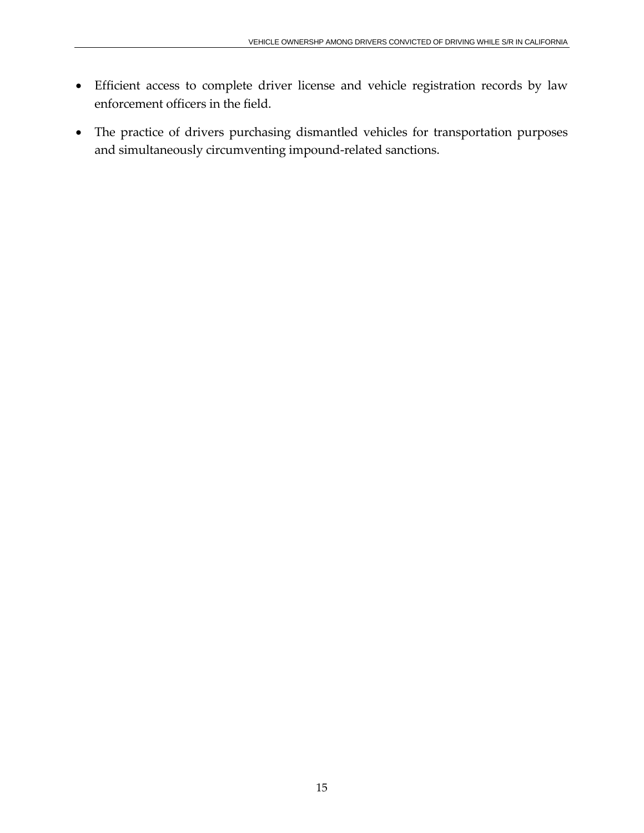- Efficient access to complete driver license and vehicle registration records by law enforcement officers in the field.
- The practice of drivers purchasing dismantled vehicles for transportation purposes and simultaneously circumventing impound‐related sanctions.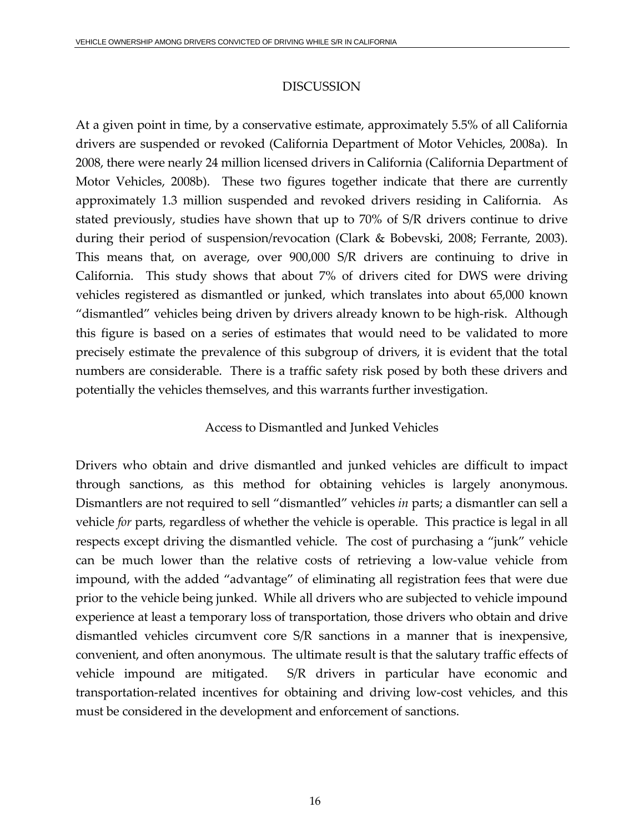#### DISCUSSION

At a given point in time, by a conservative estimate, approximately 5.5% of all California drivers are suspended or revoked (California Department of Motor Vehicles, 2008a). In 2008, there were nearly 24 million licensed drivers in California (California Department of Motor Vehicles, 2008b). These two figures together indicate that there are currently approximately 1.3 million suspended and revoked drivers residing in California. As stated previously, studies have shown that up to 70% of S/R drivers continue to drive during their period of suspension/revocation (Clark & Bobevski, 2008; Ferrante, 2003). This means that, on average, over 900,000 S/R drivers are continuing to drive in California. This study shows that about 7% of drivers cited for DWS were driving vehicles registered as dismantled or junked, which translates into about 65,000 known "dismantled" vehicles being driven by drivers already known to be high‐risk. Although this figure is based on a series of estimates that would need to be validated to more precisely estimate the prevalence of this subgroup of drivers, it is evident that the total numbers are considerable. There is a traffic safety risk posed by both these drivers and potentially the vehicles themselves, and this warrants further investigation.

#### Access to Dismantled and Junked Vehicles

Drivers who obtain and drive dismantled and junked vehicles are difficult to impact through sanctions, as this method for obtaining vehicles is largely anonymous. Dismantlers are not required to sell "dismantled" vehicles *in* parts; a dismantler can sell a vehicle *for* parts, regardless of whether the vehicle is operable. This practice is legal in all respects except driving the dismantled vehicle. The cost of purchasing a "junk" vehicle can be much lower than the relative costs of retrieving a low‐value vehicle from impound, with the added "advantage" of eliminating all registration fees that were due prior to the vehicle being junked. While all drivers who are subjected to vehicle impound experience at least a temporary loss of transportation, those drivers who obtain and drive dismantled vehicles circumvent core S/R sanctions in a manner that is inexpensive, convenient, and often anonymous. The ultimate result is that the salutary traffic effects of vehicle impound are mitigated. S/R drivers in particular have economic and transportation‐related incentives for obtaining and driving low‐cost vehicles, and this must be considered in the development and enforcement of sanctions.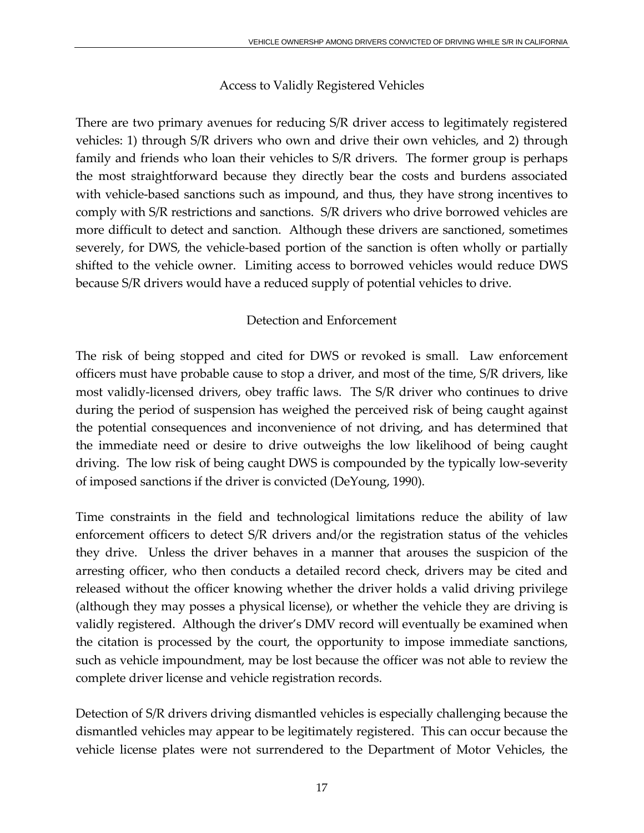# Access to Validly Registered Vehicles

There are two primary avenues for reducing S/R driver access to legitimately registered vehicles: 1) through S/R drivers who own and drive their own vehicles, and 2) through family and friends who loan their vehicles to S/R drivers. The former group is perhaps the most straightforward because they directly bear the costs and burdens associated with vehicle-based sanctions such as impound, and thus, they have strong incentives to comply with S/R restrictions and sanctions. S/R drivers who drive borrowed vehicles are more difficult to detect and sanction. Although these drivers are sanctioned, sometimes severely, for DWS, the vehicle-based portion of the sanction is often wholly or partially shifted to the vehicle owner. Limiting access to borrowed vehicles would reduce DWS because S/R drivers would have a reduced supply of potential vehicles to drive.

# Detection and Enforcement

The risk of being stopped and cited for DWS or revoked is small. Law enforcement officers must have probable cause to stop a driver, and most of the time, S/R drivers, like most validly‐licensed drivers, obey traffic laws. The S/R driver who continues to drive during the period of suspension has weighed the perceived risk of being caught against the potential consequences and inconvenience of not driving, and has determined that the immediate need or desire to drive outweighs the low likelihood of being caught driving. The low risk of being caught DWS is compounded by the typically low‐severity of imposed sanctions if the driver is convicted (DeYoung, 1990).

Time constraints in the field and technological limitations reduce the ability of law enforcement officers to detect S/R drivers and/or the registration status of the vehicles they drive. Unless the driver behaves in a manner that arouses the suspicion of the arresting officer, who then conducts a detailed record check, drivers may be cited and released without the officer knowing whether the driver holds a valid driving privilege (although they may posses a physical license), or whether the vehicle they are driving is validly registered. Although the driver's DMV record will eventually be examined when the citation is processed by the court, the opportunity to impose immediate sanctions, such as vehicle impoundment, may be lost because the officer was not able to review the complete driver license and vehicle registration records.

Detection of S/R drivers driving dismantled vehicles is especially challenging because the dismantled vehicles may appear to be legitimately registered. This can occur because the vehicle license plates were not surrendered to the Department of Motor Vehicles, the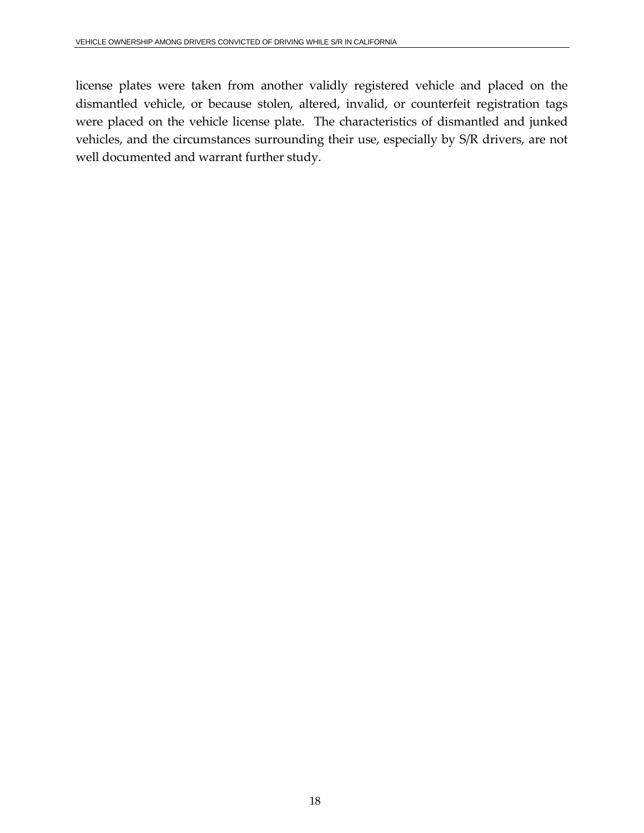license plates were taken from another validly registered vehicle and placed on the dismantled vehicle, or because stolen, altered, invalid, or counterfeit registration tags were placed on the vehicle license plate. The characteristics of dismantled and junked vehicles, and the circumstances surrounding their use, especially by S/R drivers, are not well documented and warrant further study.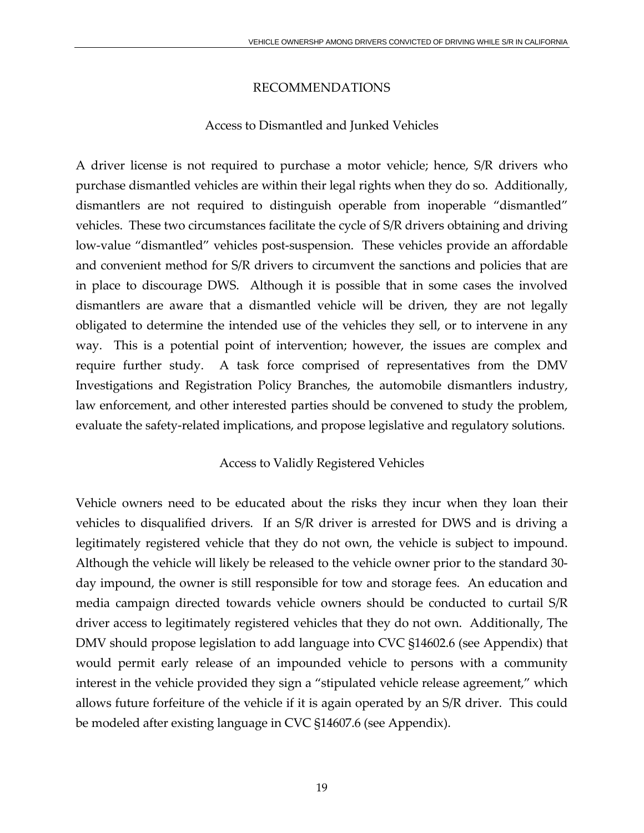#### RECOMMENDATIONS

## Access to Dismantled and Junked Vehicles

A driver license is not required to purchase a motor vehicle; hence, S/R drivers who purchase dismantled vehicles are within their legal rights when they do so. Additionally, dismantlers are not required to distinguish operable from inoperable "dismantled" vehicles. These two circumstances facilitate the cycle of S/R drivers obtaining and driving low-value "dismantled" vehicles post-suspension. These vehicles provide an affordable and convenient method for S/R drivers to circumvent the sanctions and policies that are in place to discourage DWS. Although it is possible that in some cases the involved dismantlers are aware that a dismantled vehicle will be driven, they are not legally obligated to determine the intended use of the vehicles they sell, or to intervene in any way. This is a potential point of intervention; however, the issues are complex and require further study. A task force comprised of representatives from the DMV Investigations and Registration Policy Branches, the automobile dismantlers industry, law enforcement, and other interested parties should be convened to study the problem, evaluate the safety‐related implications, and propose legislative and regulatory solutions.

## Access to Validly Registered Vehicles

Vehicle owners need to be educated about the risks they incur when they loan their vehicles to disqualified drivers. If an S/R driver is arrested for DWS and is driving a legitimately registered vehicle that they do not own, the vehicle is subject to impound. Although the vehicle will likely be released to the vehicle owner prior to the standard 30‐ day impound, the owner is still responsible for tow and storage fees. An education and media campaign directed towards vehicle owners should be conducted to curtail S/R driver access to legitimately registered vehicles that they do not own. Additionally, The DMV should propose legislation to add language into CVC §14602.6 (see Appendix) that would permit early release of an impounded vehicle to persons with a community interest in the vehicle provided they sign a "stipulated vehicle release agreement," which allows future forfeiture of the vehicle if it is again operated by an S/R driver. This could be modeled after existing language in CVC §14607.6 (see Appendix).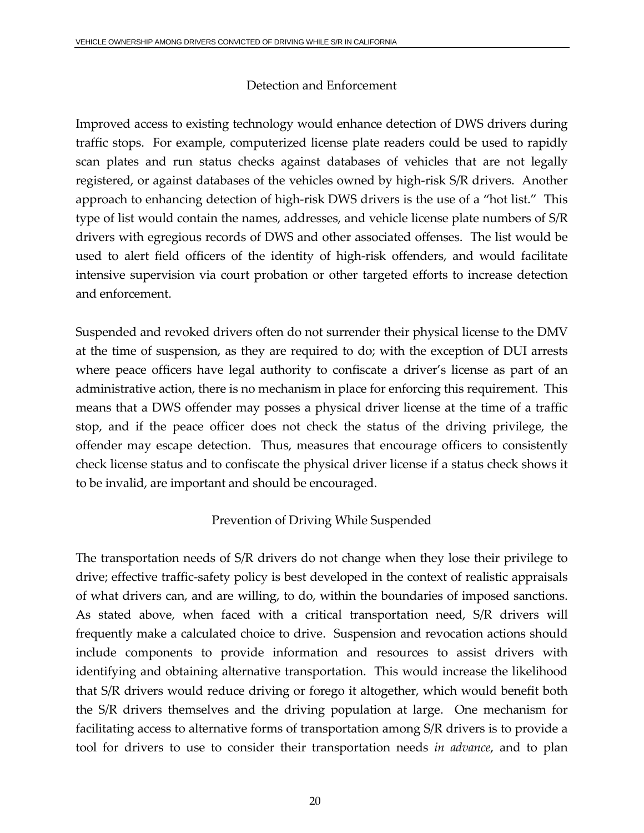#### Detection and Enforcement

Improved access to existing technology would enhance detection of DWS drivers during traffic stops. For example, computerized license plate readers could be used to rapidly scan plates and run status checks against databases of vehicles that are not legally registered, or against databases of the vehicles owned by high‐risk S/R drivers. Another approach to enhancing detection of high‐risk DWS drivers is the use of a "hot list." This type of list would contain the names, addresses, and vehicle license plate numbers of S/R drivers with egregious records of DWS and other associated offenses. The list would be used to alert field officers of the identity of high‐risk offenders, and would facilitate intensive supervision via court probation or other targeted efforts to increase detection and enforcement.

Suspended and revoked drivers often do not surrender their physical license to the DMV at the time of suspension, as they are required to do; with the exception of DUI arrests where peace officers have legal authority to confiscate a driver's license as part of an administrative action, there is no mechanism in place for enforcing this requirement. This means that a DWS offender may posses a physical driver license at the time of a traffic stop, and if the peace officer does not check the status of the driving privilege, the offender may escape detection. Thus, measures that encourage officers to consistently check license status and to confiscate the physical driver license if a status check shows it to be invalid, are important and should be encouraged.

# Prevention of Driving While Suspended

The transportation needs of S/R drivers do not change when they lose their privilege to drive; effective traffic‐safety policy is best developed in the context of realistic appraisals of what drivers can, and are willing, to do, within the boundaries of imposed sanctions. As stated above, when faced with a critical transportation need, S/R drivers will frequently make a calculated choice to drive. Suspension and revocation actions should include components to provide information and resources to assist drivers with identifying and obtaining alternative transportation. This would increase the likelihood that S/R drivers would reduce driving or forego it altogether, which would benefit both the S/R drivers themselves and the driving population at large. One mechanism for facilitating access to alternative forms of transportation among S/R drivers is to provide a tool for drivers to use to consider their transportation needs *in advance*, and to plan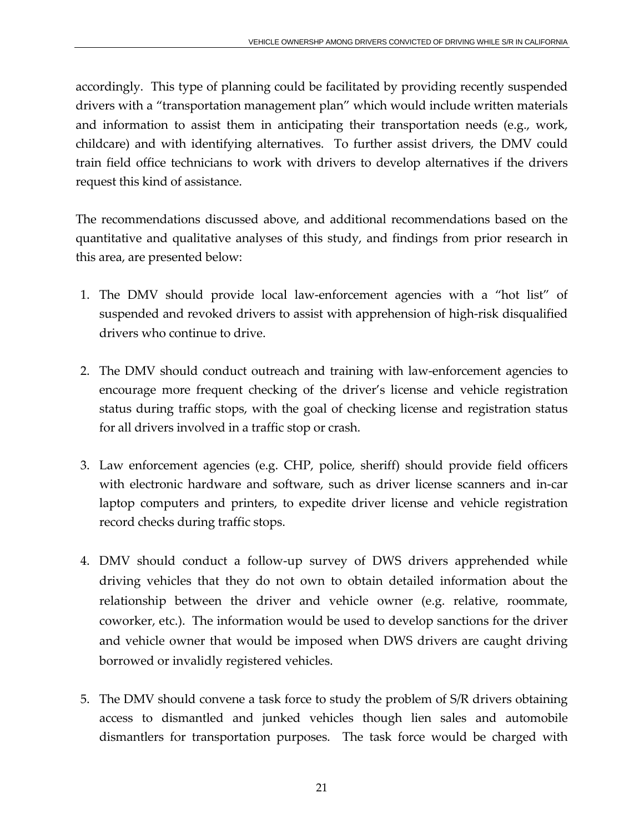accordingly. This type of planning could be facilitated by providing recently suspended drivers with a "transportation management plan" which would include written materials and information to assist them in anticipating their transportation needs (e.g., work, childcare) and with identifying alternatives. To further assist drivers, the DMV could train field office technicians to work with drivers to develop alternatives if the drivers request this kind of assistance.

The recommendations discussed above, and additional recommendations based on the quantitative and qualitative analyses of this study, and findings from prior research in this area, are presented below:

- 1. The DMV should provide local law‐enforcement agencies with a "hot list" of suspended and revoked drivers to assist with apprehension of high-risk disqualified drivers who continue to drive.
- 2. The DMV should conduct outreach and training with law-enforcement agencies to encourage more frequent checking of the driver's license and vehicle registration status during traffic stops, with the goal of checking license and registration status for all drivers involved in a traffic stop or crash.
- 3. Law enforcement agencies (e.g. CHP, police, sheriff) should provide field officers with electronic hardware and software, such as driver license scanners and in‐car laptop computers and printers, to expedite driver license and vehicle registration record checks during traffic stops.
- 4. DMV should conduct a follow‐up survey of DWS drivers apprehended while driving vehicles that they do not own to obtain detailed information about the relationship between the driver and vehicle owner (e.g. relative, roommate, coworker, etc.). The information would be used to develop sanctions for the driver and vehicle owner that would be imposed when DWS drivers are caught driving borrowed or invalidly registered vehicles.
- 5. The DMV should convene a task force to study the problem of S/R drivers obtaining access to dismantled and junked vehicles though lien sales and automobile dismantlers for transportation purposes. The task force would be charged with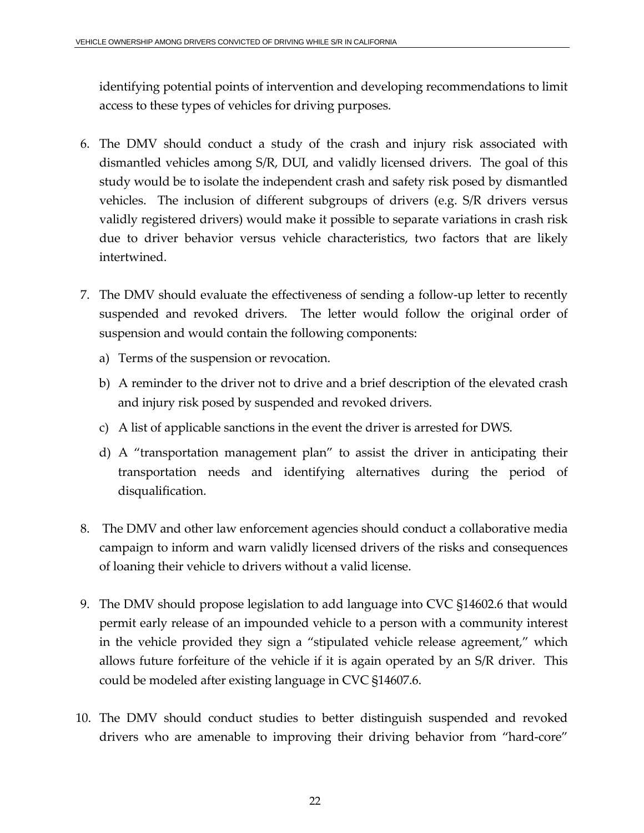identifying potential points of intervention and developing recommendations to limit access to these types of vehicles for driving purposes.

- 6. The DMV should conduct a study of the crash and injury risk associated with dismantled vehicles among S/R, DUI, and validly licensed drivers. The goal of this study would be to isolate the independent crash and safety risk posed by dismantled vehicles. The inclusion of different subgroups of drivers (e.g. S/R drivers versus validly registered drivers) would make it possible to separate variations in crash risk due to driver behavior versus vehicle characteristics, two factors that are likely intertwined.
- 7. The DMV should evaluate the effectiveness of sending a follow‐up letter to recently suspended and revoked drivers. The letter would follow the original order of suspension and would contain the following components:
	- a) Terms of the suspension or revocation.
	- b) A reminder to the driver not to drive and a brief description of the elevated crash and injury risk posed by suspended and revoked drivers.
	- c) A list of applicable sanctions in the event the driver is arrested for DWS.
	- d) A "transportation management plan" to assist the driver in anticipating their transportation needs and identifying alternatives during the period of disqualification.
- 8. The DMV and other law enforcement agencies should conduct a collaborative media campaign to inform and warn validly licensed drivers of the risks and consequences of loaning their vehicle to drivers without a valid license.
- 9. The DMV should propose legislation to add language into CVC §14602.6 that would permit early release of an impounded vehicle to a person with a community interest in the vehicle provided they sign a "stipulated vehicle release agreement," which allows future forfeiture of the vehicle if it is again operated by an S/R driver. This could be modeled after existing language in CVC §14607.6.
- 10. The DMV should conduct studies to better distinguish suspended and revoked drivers who are amenable to improving their driving behavior from "hard‐core"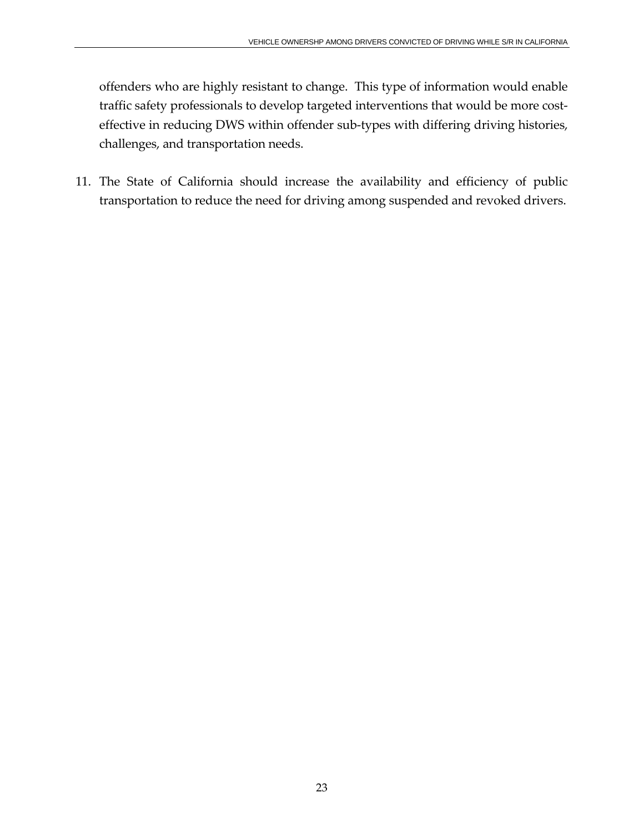offenders who are highly resistant to change. This type of information would enable traffic safety professionals to develop targeted interventions that would be more costeffective in reducing DWS within offender sub‐types with differing driving histories, challenges, and transportation needs.

11. The State of California should increase the availability and efficiency of public transportation to reduce the need for driving among suspended and revoked drivers.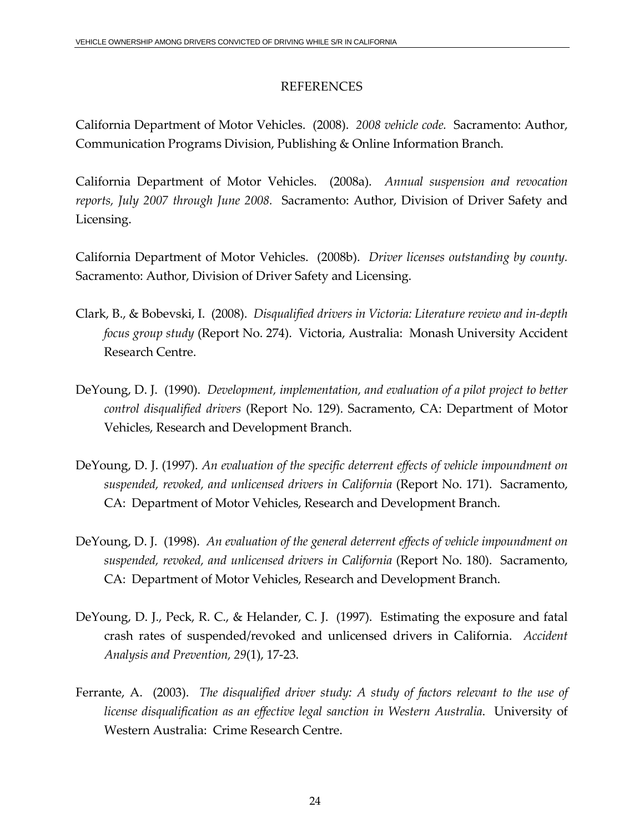#### REFERENCES

California Department of Motor Vehicles. (2008). *2008 vehicle code.* Sacramento: Author, Communication Programs Division, Publishing & Online Information Branch.

California Department of Motor Vehicles. (2008a). *Annual suspension and revocation reports, July 2007 through June 2008.* Sacramento: Author, Division of Driver Safety and Licensing.

California Department of Motor Vehicles. (2008b). *Driver licenses outstanding by county.*  Sacramento: Author, Division of Driver Safety and Licensing.

- Clark, B., & Bobevski, I. (2008). *Disqualified drivers in Victoria: Literature review and in‐depth focus group study* (Report No. 274). Victoria, Australia: Monash University Accident Research Centre.
- DeYoung, D. J. (1990). *Development, implementation, and evaluation of a pilot project to better control disqualified drivers* (Report No. 129). Sacramento, CA: Department of Motor Vehicles, Research and Development Branch.
- DeYoung, D. J. (1997). *An evaluation of the specific deterrent effects of vehicle impoundment on suspended, revoked, and unlicensed drivers in California* (Report No. 171). Sacramento, CA: Department of Motor Vehicles, Research and Development Branch.
- DeYoung, D. J. (1998). *An evaluation of the general deterrent effects of vehicle impoundment on suspended, revoked, and unlicensed drivers in California* (Report No. 180). Sacramento, CA: Department of Motor Vehicles, Research and Development Branch.
- DeYoung, D. J., Peck, R. C., & Helander, C. J. (1997). Estimating the exposure and fatal crash rates of suspended/revoked and unlicensed drivers in California. *Accident Analysis and Prevention, 29*(1), 17‐23.
- Ferrante, A. (2003). *The disqualified driver study: A study of factors relevant to the use of license disqualification as an effective legal sanction in Western Australia*. University of Western Australia: Crime Research Centre.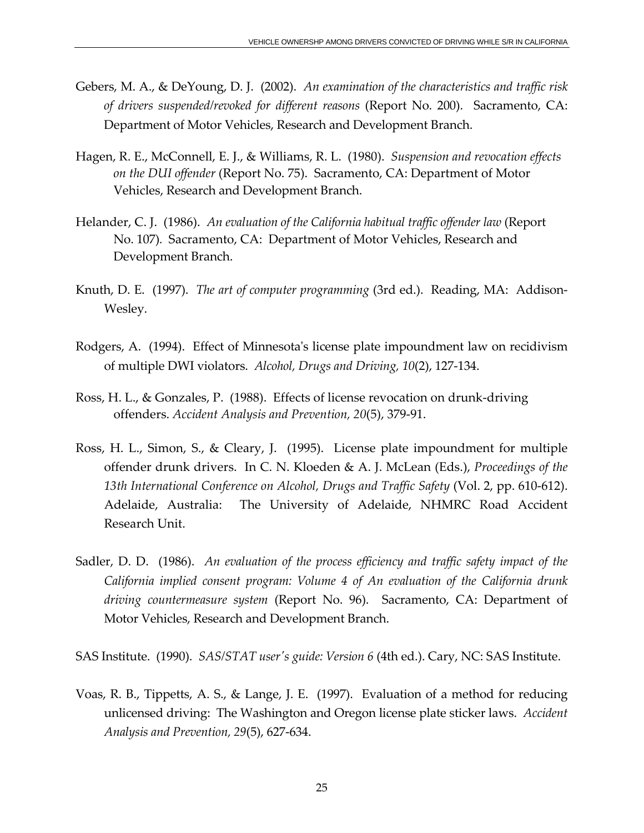- Gebers, M. A., & DeYoung, D. J. (2002). *An examination of the characteristics and traffic risk of drivers suspended/revoked for different reasons* (Report No. 200). Sacramento, CA: Department of Motor Vehicles, Research and Development Branch.
- Hagen, R. E., McConnell, E. J., & Williams, R. L. (1980). *Suspension and revocation effects on the DUI offender* (Report No. 75). Sacramento, CA: Department of Motor Vehicles, Research and Development Branch.
- Helander, C. J. (1986). *An evaluation of the California habitual traffic offender law* (Report No. 107). Sacramento, CA: Department of Motor Vehicles, Research and Development Branch.
- Knuth, D. E. (1997). *The art of computer programming* (3rd ed.). Reading, MA: Addison‐ Wesley.
- Rodgers, A. (1994). Effect of Minnesotaʹs license plate impoundment law on recidivism of multiple DWI violators. *Alcohol, Drugs and Driving, 10*(2), 127‐134.
- Ross, H. L., & Gonzales, P. (1988). Effects of license revocation on drunk‐driving offenders. *Accident Analysis and Prevention, 20*(5), 379‐91.
- Ross, H. L., Simon, S., & Cleary, J. (1995). License plate impoundment for multiple offender drunk drivers. In C. N. Kloeden & A. J. McLean (Eds.), *Proceedings of the 13th International Conference on Alcohol, Drugs and Traffic Safety* (Vol. 2, pp. 610‐612). Adelaide, Australia: The University of Adelaide, NHMRC Road Accident Research Unit.
- Sadler, D. D. (1986). *An evaluation of the process efficiency and traffic safety impact of the California implied consent program: Volume 4 of An evaluation of the California drunk driving countermeasure system* (Report No. 96). Sacramento, CA: Department of Motor Vehicles, Research and Development Branch.

SAS Institute. (1990). *SAS/STAT userʹs guide: Version 6* (4th ed.). Cary, NC: SAS Institute.

Voas, R. B., Tippetts, A. S., & Lange, J. E. (1997). Evaluation of a method for reducing unlicensed driving: The Washington and Oregon license plate sticker laws. *Accident Analysis and Prevention, 29*(5), 627‐634.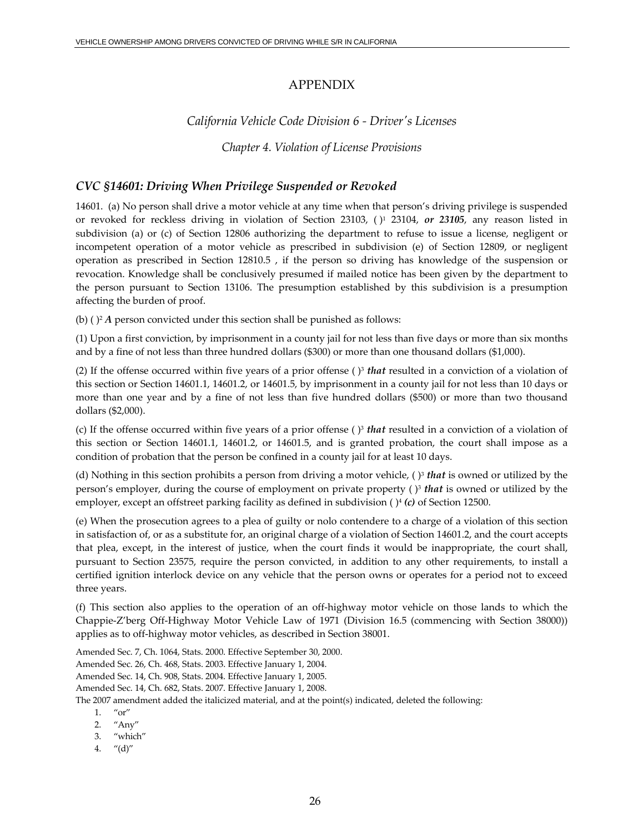#### APPENDIX

#### *California Vehicle Code Division 6 ‐ Driverʹs Licenses*

#### *Chapter 4. Violation of License Provisions*

#### *CVC §14601: Driving When Privilege Suspended or Revoked*

14601. (a) No person shall drive a motor vehicle at any time when that person's driving privilege is suspended or revoked for reckless driving in violation of Section 23103, ( )1 23104, *or 23105*, any reason listed in subdivision (a) or (c) of Section 12806 authorizing the department to refuse to issue a license, negligent or incompetent operation of a motor vehicle as prescribed in subdivision (e) of Section 12809, or negligent operation as prescribed in Section 12810.5 , if the person so driving has knowledge of the suspension or revocation. Knowledge shall be conclusively presumed if mailed notice has been given by the department to the person pursuant to Section 13106. The presumption established by this subdivision is a presumption affecting the burden of proof.

(b)  $($   $)^2$  *A* person convicted under this section shall be punished as follows:

(1) Upon a first conviction, by imprisonment in a county jail for not less than five days or more than six months and by a fine of not less than three hundred dollars (\$300) or more than one thousand dollars (\$1,000).

(2) If the offense occurred within five years of a prior offense ( $3$  *that* resulted in a conviction of a violation of this section or Section 14601.1, 14601.2, or 14601.5, by imprisonment in a county jail for not less than 10 days or more than one year and by a fine of not less than five hundred dollars (\$500) or more than two thousand dollars (\$2,000).

(c) If the offense occurred within five years of a prior offense ( $3$  *that* resulted in a conviction of a violation of this section or Section 14601.1, 14601.2, or 14601.5, and is granted probation, the court shall impose as a condition of probation that the person be confined in a county jail for at least 10 days.

(d) Nothing in this section prohibits a person from driving a motor vehicle, ( )3 *that* is owned or utilized by the person's employer, during the course of employment on private property ( )3 *that* is owned or utilized by the employer, except an offstreet parking facility as defined in subdivision ( )4 *(c)* of Section 12500.

(e) When the prosecution agrees to a plea of guilty or nolo contendere to a charge of a violation of this section in satisfaction of, or as a substitute for, an original charge of a violation of Section 14601.2, and the court accepts that plea, except, in the interest of justice, when the court finds it would be inappropriate, the court shall, pursuant to Section 23575, require the person convicted, in addition to any other requirements, to install a certified ignition interlock device on any vehicle that the person owns or operates for a period not to exceed three years.

(f) This section also applies to the operation of an off‐highway motor vehicle on those lands to which the Chappie‐Z'berg Off‐Highway Motor Vehicle Law of 1971 (Division 16.5 (commencing with Section 38000)) applies as to off‐highway motor vehicles, as described in Section 38001.

Amended Sec. 7, Ch. 1064, Stats. 2000. Effective September 30, 2000.

Amended Sec. 26, Ch. 468, Stats. 2003. Effective January 1, 2004.

Amended Sec. 14, Ch. 908, Stats. 2004. Effective January 1, 2005.

Amended Sec. 14, Ch. 682, Stats. 2007. Effective January 1, 2008.

The 2007 amendment added the italicized material, and at the point(s) indicated, deleted the following:

1. "or"

- 2. "Any"
- 3. "which"
- 4.  $''(d)''$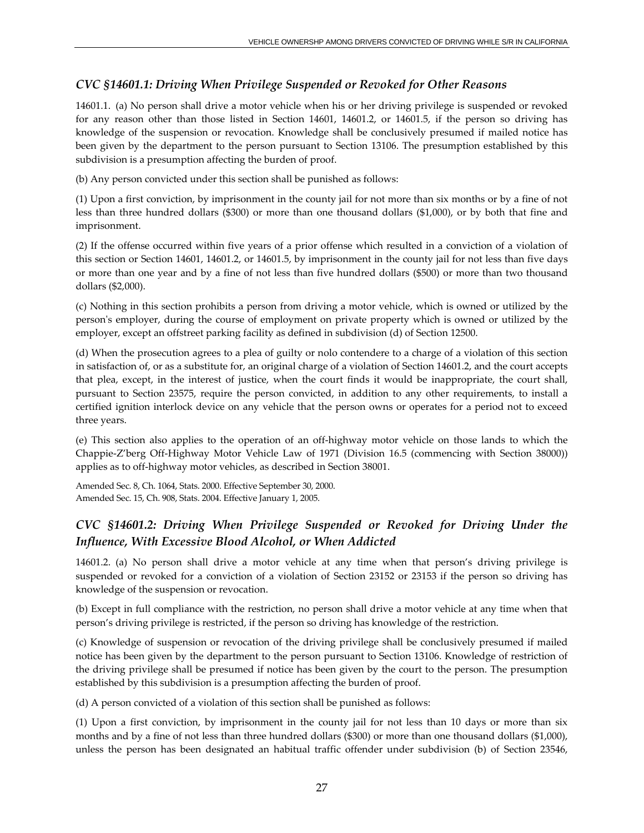#### *CVC §14601.1: Driving When Privilege Suspended or Revoked for Other Reasons*

14601.1. (a) No person shall drive a motor vehicle when his or her driving privilege is suspended or revoked for any reason other than those listed in Section 14601, 14601.2, or 14601.5, if the person so driving has knowledge of the suspension or revocation. Knowledge shall be conclusively presumed if mailed notice has been given by the department to the person pursuant to Section 13106. The presumption established by this subdivision is a presumption affecting the burden of proof.

(b) Any person convicted under this section shall be punished as follows:

(1) Upon a first conviction, by imprisonment in the county jail for not more than six months or by a fine of not less than three hundred dollars (\$300) or more than one thousand dollars (\$1,000), or by both that fine and imprisonment.

(2) If the offense occurred within five years of a prior offense which resulted in a conviction of a violation of this section or Section 14601, 14601.2, or 14601.5, by imprisonment in the county jail for not less than five days or more than one year and by a fine of not less than five hundred dollars (\$500) or more than two thousand dollars (\$2,000).

(c) Nothing in this section prohibits a person from driving a motor vehicle, which is owned or utilized by the personʹs employer, during the course of employment on private property which is owned or utilized by the employer, except an offstreet parking facility as defined in subdivision (d) of Section 12500.

(d) When the prosecution agrees to a plea of guilty or nolo contendere to a charge of a violation of this section in satisfaction of, or as a substitute for, an original charge of a violation of Section 14601.2, and the court accepts that plea, except, in the interest of justice, when the court finds it would be inappropriate, the court shall, pursuant to Section 23575, require the person convicted, in addition to any other requirements, to install a certified ignition interlock device on any vehicle that the person owns or operates for a period not to exceed three years.

(e) This section also applies to the operation of an off‐highway motor vehicle on those lands to which the Chappie‐Z'berg Off‐Highway Motor Vehicle Law of 1971 (Division 16.5 (commencing with Section 38000)) applies as to off‐highway motor vehicles, as described in Section 38001.

Amended Sec. 8, Ch. 1064, Stats. 2000. Effective September 30, 2000. Amended Sec. 15, Ch. 908, Stats. 2004. Effective January 1, 2005.

#### *CVC §14601.2: Driving When Privilege Suspended or Revoked for Driving Under the Influence, With Excessive Blood Alcohol, or When Addicted*

14601.2. (a) No person shall drive a motor vehicle at any time when that person's driving privilege is suspended or revoked for a conviction of a violation of Section 23152 or 23153 if the person so driving has knowledge of the suspension or revocation.

(b) Except in full compliance with the restriction, no person shall drive a motor vehicle at any time when that person's driving privilege is restricted, if the person so driving has knowledge of the restriction.

(c) Knowledge of suspension or revocation of the driving privilege shall be conclusively presumed if mailed notice has been given by the department to the person pursuant to Section 13106. Knowledge of restriction of the driving privilege shall be presumed if notice has been given by the court to the person. The presumption established by this subdivision is a presumption affecting the burden of proof.

(d) A person convicted of a violation of this section shall be punished as follows:

(1) Upon a first conviction, by imprisonment in the county jail for not less than 10 days or more than six months and by a fine of not less than three hundred dollars (\$300) or more than one thousand dollars (\$1,000), unless the person has been designated an habitual traffic offender under subdivision (b) of Section 23546,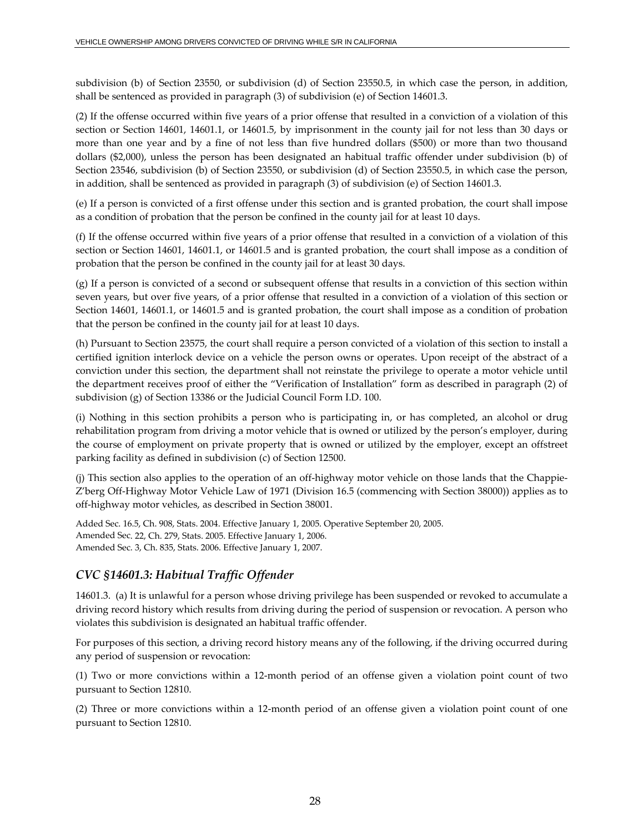subdivision (b) of Section 23550, or subdivision (d) of Section 23550.5, in which case the person, in addition, shall be sentenced as provided in paragraph (3) of subdivision (e) of Section 14601.3.

(2) If the offense occurred within five years of a prior offense that resulted in a conviction of a violation of this section or Section 14601, 14601.1, or 14601.5, by imprisonment in the county jail for not less than 30 days or more than one year and by a fine of not less than five hundred dollars (\$500) or more than two thousand dollars (\$2,000), unless the person has been designated an habitual traffic offender under subdivision (b) of Section 23546, subdivision (b) of Section 23550, or subdivision (d) of Section 23550.5, in which case the person, in addition, shall be sentenced as provided in paragraph (3) of subdivision (e) of Section 14601.3.

(e) If a person is convicted of a first offense under this section and is granted probation, the court shall impose as a condition of probation that the person be confined in the county jail for at least 10 days.

(f) If the offense occurred within five years of a prior offense that resulted in a conviction of a violation of this section or Section 14601, 14601.1, or 14601.5 and is granted probation, the court shall impose as a condition of probation that the person be confined in the county jail for at least 30 days.

(g) If a person is convicted of a second or subsequent offense that results in a conviction of this section within seven years, but over five years, of a prior offense that resulted in a conviction of a violation of this section or Section 14601, 14601.1, or 14601.5 and is granted probation, the court shall impose as a condition of probation that the person be confined in the county jail for at least 10 days.

(h) Pursuant to Section 23575, the court shall require a person convicted of a violation of this section to install a certified ignition interlock device on a vehicle the person owns or operates. Upon receipt of the abstract of a conviction under this section, the department shall not reinstate the privilege to operate a motor vehicle until the department receives proof of either the "Verification of Installation" form as described in paragraph (2) of subdivision (g) of Section 13386 or the Judicial Council Form I.D. 100.

(i) Nothing in this section prohibits a person who is participating in, or has completed, an alcohol or drug rehabilitation program from driving a motor vehicle that is owned or utilized by the person's employer, during the course of employment on private property that is owned or utilized by the employer, except an offstreet parking facility as defined in subdivision (c) of Section 12500.

(j) This section also applies to the operation of an off‐highway motor vehicle on those lands that the Chappie‐ Z'berg Off‐Highway Motor Vehicle Law of 1971 (Division 16.5 (commencing with Section 38000)) applies as to off‐highway motor vehicles, as described in Section 38001.

Added Sec. 16.5, Ch. 908, Stats. 2004. Effective January 1, 2005. Operative September 20, 2005. Amended Sec. 22, Ch. 279, Stats. 2005. Effective January 1, 2006. Amended Sec. 3, Ch. 835, Stats. 2006. Effective January 1, 2007.

#### *CVC §14601.3: Habitual Traffic Offender*

14601.3. (a) It is unlawful for a person whose driving privilege has been suspended or revoked to accumulate a driving record history which results from driving during the period of suspension or revocation. A person who violates this subdivision is designated an habitual traffic offender.

For purposes of this section, a driving record history means any of the following, if the driving occurred during any period of suspension or revocation:

(1) Two or more convictions within a 12‐month period of an offense given a violation point count of two pursuant to Section 12810.

(2) Three or more convictions within a 12‐month period of an offense given a violation point count of one pursuant to Section 12810.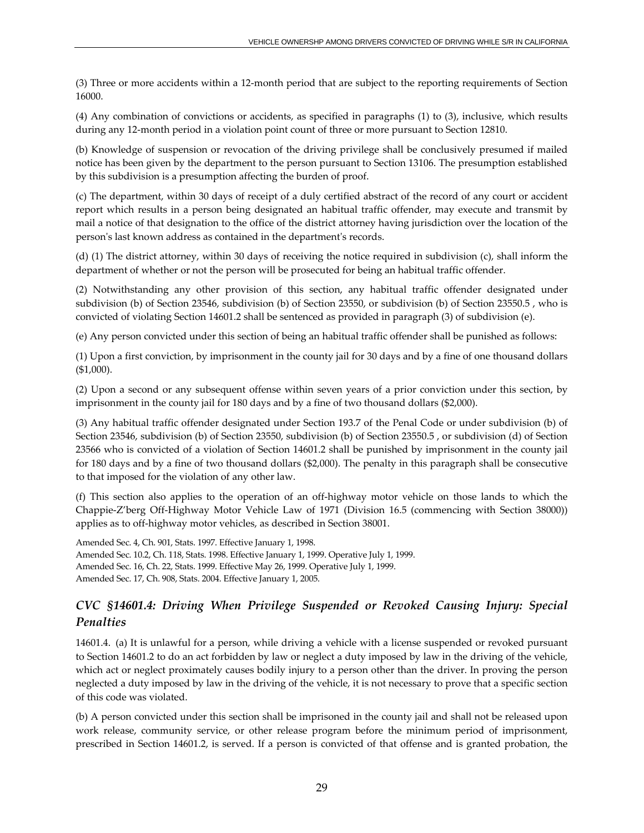(3) Three or more accidents within a 12‐month period that are subject to the reporting requirements of Section 16000.

(4) Any combination of convictions or accidents, as specified in paragraphs (1) to (3), inclusive, which results during any 12‐month period in a violation point count of three or more pursuant to Section 12810.

(b) Knowledge of suspension or revocation of the driving privilege shall be conclusively presumed if mailed notice has been given by the department to the person pursuant to Section 13106. The presumption established by this subdivision is a presumption affecting the burden of proof.

(c) The department, within 30 days of receipt of a duly certified abstract of the record of any court or accident report which results in a person being designated an habitual traffic offender, may execute and transmit by mail a notice of that designation to the office of the district attorney having jurisdiction over the location of the person's last known address as contained in the department's records.

(d) (1) The district attorney, within 30 days of receiving the notice required in subdivision (c), shall inform the department of whether or not the person will be prosecuted for being an habitual traffic offender.

(2) Notwithstanding any other provision of this section, any habitual traffic offender designated under subdivision (b) of Section 23546, subdivision (b) of Section 23550, or subdivision (b) of Section 23550.5 , who is convicted of violating Section 14601.2 shall be sentenced as provided in paragraph (3) of subdivision (e).

(e) Any person convicted under this section of being an habitual traffic offender shall be punished as follows:

(1) Upon a first conviction, by imprisonment in the county jail for 30 days and by a fine of one thousand dollars (\$1,000).

(2) Upon a second or any subsequent offense within seven years of a prior conviction under this section, by imprisonment in the county jail for 180 days and by a fine of two thousand dollars (\$2,000).

(3) Any habitual traffic offender designated under Section 193.7 of the Penal Code or under subdivision (b) of Section 23546, subdivision (b) of Section 23550, subdivision (b) of Section 23550.5 , or subdivision (d) of Section 23566 who is convicted of a violation of Section 14601.2 shall be punished by imprisonment in the county jail for 180 days and by a fine of two thousand dollars (\$2,000). The penalty in this paragraph shall be consecutive to that imposed for the violation of any other law.

(f) This section also applies to the operation of an off‐highway motor vehicle on those lands to which the Chappie‐Z'berg Off‐Highway Motor Vehicle Law of 1971 (Division 16.5 (commencing with Section 38000)) applies as to off‐highway motor vehicles, as described in Section 38001.

Amended Sec. 4, Ch. 901, Stats. 1997. Effective January 1, 1998. Amended Sec. 10.2, Ch. 118, Stats. 1998. Effective January 1, 1999. Operative July 1, 1999. Amended Sec. 16, Ch. 22, Stats. 1999. Effective May 26, 1999. Operative July 1, 1999. Amended Sec. 17, Ch. 908, Stats. 2004. Effective January 1, 2005.

#### *CVC §14601.4: Driving When Privilege Suspended or Revoked Causing Injury: Special Penalties*

14601.4. (a) It is unlawful for a person, while driving a vehicle with a license suspended or revoked pursuant to Section 14601.2 to do an act forbidden by law or neglect a duty imposed by law in the driving of the vehicle, which act or neglect proximately causes bodily injury to a person other than the driver. In proving the person neglected a duty imposed by law in the driving of the vehicle, it is not necessary to prove that a specific section of this code was violated.

(b) A person convicted under this section shall be imprisoned in the county jail and shall not be released upon work release, community service, or other release program before the minimum period of imprisonment, prescribed in Section 14601.2, is served. If a person is convicted of that offense and is granted probation, the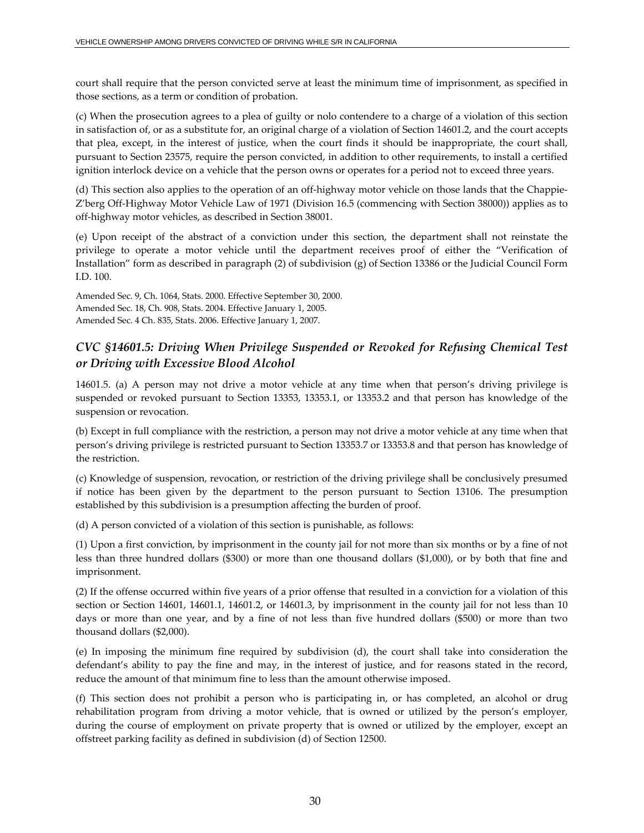court shall require that the person convicted serve at least the minimum time of imprisonment, as specified in those sections, as a term or condition of probation.

(c) When the prosecution agrees to a plea of guilty or nolo contendere to a charge of a violation of this section in satisfaction of, or as a substitute for, an original charge of a violation of Section 14601.2, and the court accepts that plea, except, in the interest of justice, when the court finds it should be inappropriate, the court shall, pursuant to Section 23575, require the person convicted, in addition to other requirements, to install a certified ignition interlock device on a vehicle that the person owns or operates for a period not to exceed three years.

(d) This section also applies to the operation of an off‐highway motor vehicle on those lands that the Chappie‐ Z'berg Off‐Highway Motor Vehicle Law of 1971 (Division 16.5 (commencing with Section 38000)) applies as to off‐highway motor vehicles, as described in Section 38001.

(e) Upon receipt of the abstract of a conviction under this section, the department shall not reinstate the privilege to operate a motor vehicle until the department receives proof of either the "Verification of Installation" form as described in paragraph (2) of subdivision (g) of Section 13386 or the Judicial Council Form I.D. 100.

Amended Sec. 9, Ch. 1064, Stats. 2000. Effective September 30, 2000. Amended Sec. 18, Ch. 908, Stats. 2004. Effective January 1, 2005. Amended Sec. 4 Ch. 835, Stats. 2006. Effective January 1, 2007.

#### *CVC §14601.5: Driving When Privilege Suspended or Revoked for Refusing Chemical Test or Driving with Excessive Blood Alcohol*

14601.5. (a) A person may not drive a motor vehicle at any time when that person's driving privilege is suspended or revoked pursuant to Section 13353, 13353.1, or 13353.2 and that person has knowledge of the suspension or revocation.

(b) Except in full compliance with the restriction, a person may not drive a motor vehicle at any time when that person's driving privilege is restricted pursuant to Section 13353.7 or 13353.8 and that person has knowledge of the restriction.

(c) Knowledge of suspension, revocation, or restriction of the driving privilege shall be conclusively presumed if notice has been given by the department to the person pursuant to Section 13106. The presumption established by this subdivision is a presumption affecting the burden of proof.

(d) A person convicted of a violation of this section is punishable, as follows:

(1) Upon a first conviction, by imprisonment in the county jail for not more than six months or by a fine of not less than three hundred dollars (\$300) or more than one thousand dollars (\$1,000), or by both that fine and imprisonment.

(2) If the offense occurred within five years of a prior offense that resulted in a conviction for a violation of this section or Section 14601, 14601.1, 14601.2, or 14601.3, by imprisonment in the county jail for not less than 10 days or more than one year, and by a fine of not less than five hundred dollars (\$500) or more than two thousand dollars (\$2,000).

(e) In imposing the minimum fine required by subdivision (d), the court shall take into consideration the defendant's ability to pay the fine and may, in the interest of justice, and for reasons stated in the record, reduce the amount of that minimum fine to less than the amount otherwise imposed.

(f) This section does not prohibit a person who is participating in, or has completed, an alcohol or drug rehabilitation program from driving a motor vehicle, that is owned or utilized by the person's employer, during the course of employment on private property that is owned or utilized by the employer, except an offstreet parking facility as defined in subdivision (d) of Section 12500.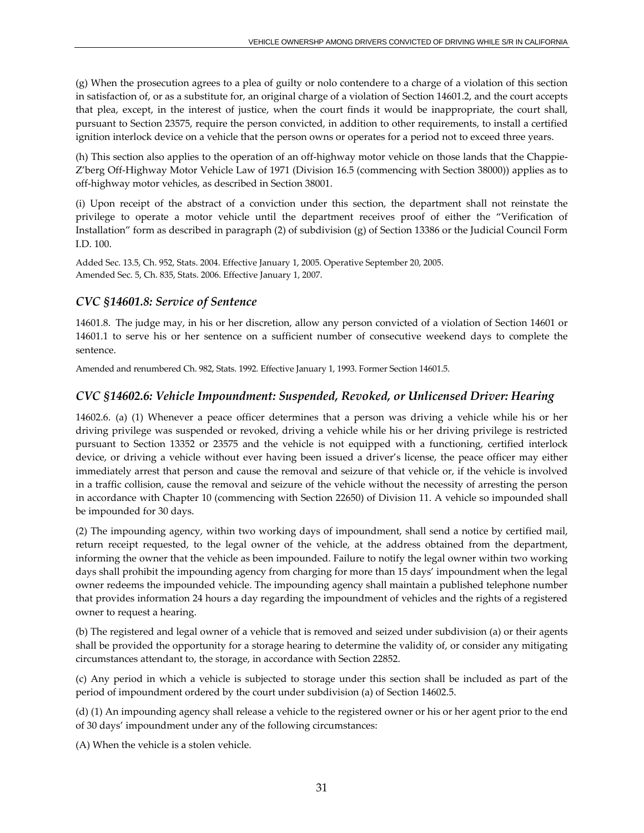(g) When the prosecution agrees to a plea of guilty or nolo contendere to a charge of a violation of this section in satisfaction of, or as a substitute for, an original charge of a violation of Section 14601.2, and the court accepts that plea, except, in the interest of justice, when the court finds it would be inappropriate, the court shall, pursuant to Section 23575, require the person convicted, in addition to other requirements, to install a certified ignition interlock device on a vehicle that the person owns or operates for a period not to exceed three years.

(h) This section also applies to the operation of an off‐highway motor vehicle on those lands that the Chappie‐ Z'berg Off‐Highway Motor Vehicle Law of 1971 (Division 16.5 (commencing with Section 38000)) applies as to off‐highway motor vehicles, as described in Section 38001.

(i) Upon receipt of the abstract of a conviction under this section, the department shall not reinstate the privilege to operate a motor vehicle until the department receives proof of either the "Verification of Installation" form as described in paragraph (2) of subdivision (g) of Section 13386 or the Judicial Council Form I.D. 100.

Added Sec. 13.5, Ch. 952, Stats. 2004. Effective January 1, 2005. Operative September 20, 2005. Amended Sec. 5, Ch. 835, Stats. 2006. Effective January 1, 2007.

#### *CVC §14601.8: Service of Sentence*

14601.8. The judge may, in his or her discretion, allow any person convicted of a violation of Section 14601 or 14601.1 to serve his or her sentence on a sufficient number of consecutive weekend days to complete the sentence.

Amended and renumbered Ch. 982, Stats. 1992. Effective January 1, 1993. Former Section 14601.5.

#### *CVC §14602.6: Vehicle Impoundment: Suspended, Revoked, or Unlicensed Driver: Hearing*

14602.6. (a) (1) Whenever a peace officer determines that a person was driving a vehicle while his or her driving privilege was suspended or revoked, driving a vehicle while his or her driving privilege is restricted pursuant to Section 13352 or 23575 and the vehicle is not equipped with a functioning, certified interlock device, or driving a vehicle without ever having been issued a driver's license, the peace officer may either immediately arrest that person and cause the removal and seizure of that vehicle or, if the vehicle is involved in a traffic collision, cause the removal and seizure of the vehicle without the necessity of arresting the person in accordance with Chapter 10 (commencing with Section 22650) of Division 11. A vehicle so impounded shall be impounded for 30 days.

(2) The impounding agency, within two working days of impoundment, shall send a notice by certified mail, return receipt requested, to the legal owner of the vehicle, at the address obtained from the department, informing the owner that the vehicle as been impounded. Failure to notify the legal owner within two working days shall prohibit the impounding agency from charging for more than 15 days' impoundment when the legal owner redeems the impounded vehicle. The impounding agency shall maintain a published telephone number that provides information 24 hours a day regarding the impoundment of vehicles and the rights of a registered owner to request a hearing.

(b) The registered and legal owner of a vehicle that is removed and seized under subdivision (a) or their agents shall be provided the opportunity for a storage hearing to determine the validity of, or consider any mitigating circumstances attendant to, the storage, in accordance with Section 22852.

(c) Any period in which a vehicle is subjected to storage under this section shall be included as part of the period of impoundment ordered by the court under subdivision (a) of Section 14602.5.

(d) (1) An impounding agency shall release a vehicle to the registered owner or his or her agent prior to the end of 30 days' impoundment under any of the following circumstances:

(A) When the vehicle is a stolen vehicle.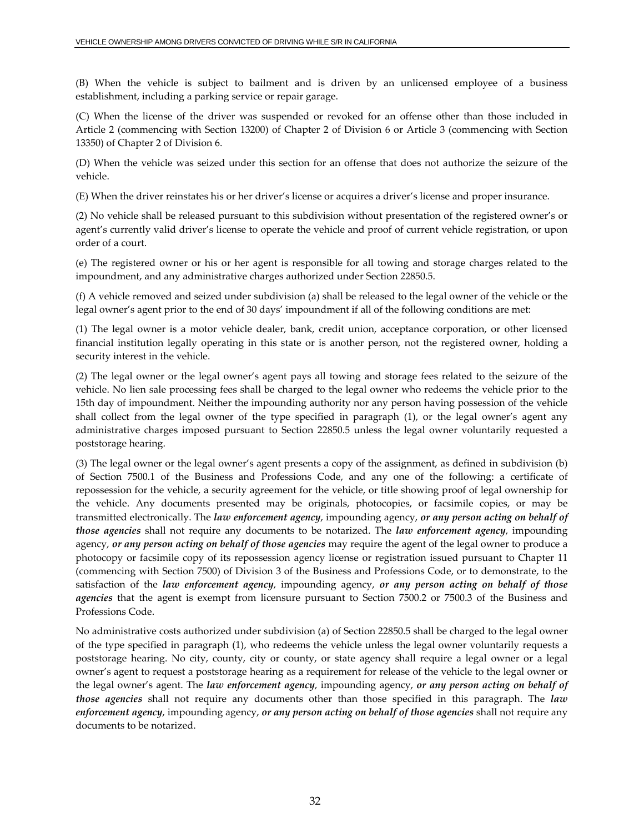(B) When the vehicle is subject to bailment and is driven by an unlicensed employee of a business establishment, including a parking service or repair garage.

(C) When the license of the driver was suspended or revoked for an offense other than those included in Article 2 (commencing with Section 13200) of Chapter 2 of Division 6 or Article 3 (commencing with Section 13350) of Chapter 2 of Division 6.

(D) When the vehicle was seized under this section for an offense that does not authorize the seizure of the vehicle.

(E) When the driver reinstates his or her driver's license or acquires a driver's license and proper insurance.

(2) No vehicle shall be released pursuant to this subdivision without presentation of the registered owner's or agent's currently valid driver's license to operate the vehicle and proof of current vehicle registration, or upon order of a court.

(e) The registered owner or his or her agent is responsible for all towing and storage charges related to the impoundment, and any administrative charges authorized under Section 22850.5.

(f) A vehicle removed and seized under subdivision (a) shall be released to the legal owner of the vehicle or the legal owner's agent prior to the end of 30 days' impoundment if all of the following conditions are met:

(1) The legal owner is a motor vehicle dealer, bank, credit union, acceptance corporation, or other licensed financial institution legally operating in this state or is another person, not the registered owner, holding a security interest in the vehicle.

(2) The legal owner or the legal owner's agent pays all towing and storage fees related to the seizure of the vehicle. No lien sale processing fees shall be charged to the legal owner who redeems the vehicle prior to the 15th day of impoundment. Neither the impounding authority nor any person having possession of the vehicle shall collect from the legal owner of the type specified in paragraph (1), or the legal owner's agent any administrative charges imposed pursuant to Section 22850.5 unless the legal owner voluntarily requested a poststorage hearing.

(3) The legal owner or the legal owner's agent presents a copy of the assignment, as defined in subdivision (b) of Section 7500.1 of the Business and Professions Code, and any one of the following: a certificate of repossession for the vehicle, a security agreement for the vehicle, or title showing proof of legal ownership for the vehicle. Any documents presented may be originals, photocopies, or facsimile copies, or may be transmitted electronically. The *law enforcement agency*, impounding agency, *or any person acting on behalf of those agencies* shall not require any documents to be notarized. The *law enforcement agency*, impounding agency, *or any person acting on behalf of those agencies* may require the agent of the legal owner to produce a photocopy or facsimile copy of its repossession agency license or registration issued pursuant to Chapter 11 (commencing with Section 7500) of Division 3 of the Business and Professions Code, or to demonstrate, to the satisfaction of the *law enforcement agency*, impounding agency, *or any person acting on behalf of those agencies* that the agent is exempt from licensure pursuant to Section 7500.2 or 7500.3 of the Business and Professions Code.

No administrative costs authorized under subdivision (a) of Section 22850.5 shall be charged to the legal owner of the type specified in paragraph (1), who redeems the vehicle unless the legal owner voluntarily requests a poststorage hearing. No city, county, city or county, or state agency shall require a legal owner or a legal owner's agent to request a poststorage hearing as a requirement for release of the vehicle to the legal owner or the legal owner's agent. The *law enforcement agency*, impounding agency, *or any person acting on behalf of those agencies* shall not require any documents other than those specified in this paragraph. The *law enforcement agency*, impounding agency, *or any person acting on behalf of those agencies* shall not require any documents to be notarized.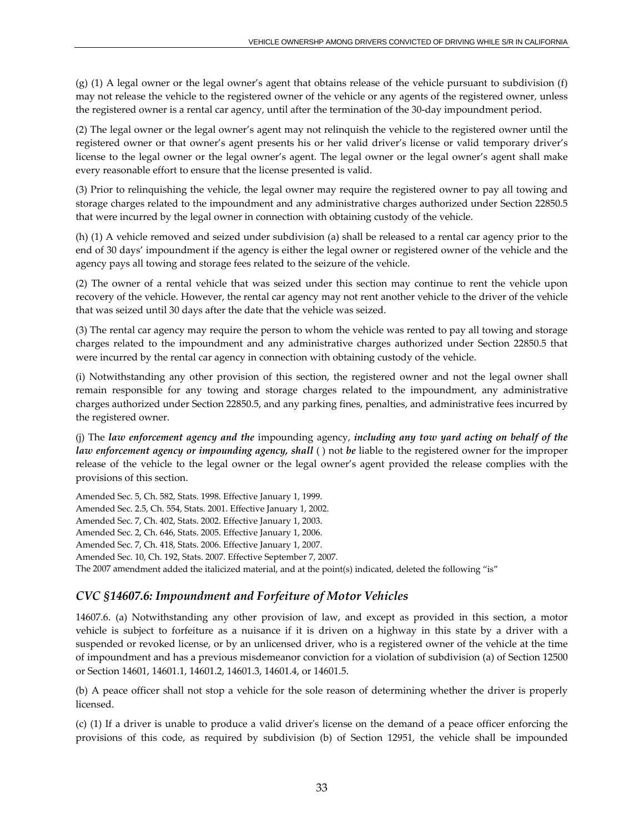(g) (1) A legal owner or the legal owner's agent that obtains release of the vehicle pursuant to subdivision (f) may not release the vehicle to the registered owner of the vehicle or any agents of the registered owner, unless the registered owner is a rental car agency, until after the termination of the 30‐day impoundment period.

(2) The legal owner or the legal owner's agent may not relinquish the vehicle to the registered owner until the registered owner or that owner's agent presents his or her valid driver's license or valid temporary driver's license to the legal owner or the legal owner's agent. The legal owner or the legal owner's agent shall make every reasonable effort to ensure that the license presented is valid.

(3) Prior to relinquishing the vehicle, the legal owner may require the registered owner to pay all towing and storage charges related to the impoundment and any administrative charges authorized under Section 22850.5 that were incurred by the legal owner in connection with obtaining custody of the vehicle.

(h) (1) A vehicle removed and seized under subdivision (a) shall be released to a rental car agency prior to the end of 30 days' impoundment if the agency is either the legal owner or registered owner of the vehicle and the agency pays all towing and storage fees related to the seizure of the vehicle.

(2) The owner of a rental vehicle that was seized under this section may continue to rent the vehicle upon recovery of the vehicle. However, the rental car agency may not rent another vehicle to the driver of the vehicle that was seized until 30 days after the date that the vehicle was seized.

(3) The rental car agency may require the person to whom the vehicle was rented to pay all towing and storage charges related to the impoundment and any administrative charges authorized under Section 22850.5 that were incurred by the rental car agency in connection with obtaining custody of the vehicle.

(i) Notwithstanding any other provision of this section, the registered owner and not the legal owner shall remain responsible for any towing and storage charges related to the impoundment, any administrative charges authorized under Section 22850.5, and any parking fines, penalties, and administrative fees incurred by the registered owner.

(j) The *law enforcement agency and the* impounding agency, *including any tow yard acting on behalf of the law enforcement agency or impounding agency, shall* ( ) not *be* liable to the registered owner for the improper release of the vehicle to the legal owner or the legal owner's agent provided the release complies with the provisions of this section.

Amended Sec. 5, Ch. 582, Stats. 1998. Effective January 1, 1999. Amended Sec. 2.5, Ch. 554, Stats. 2001. Effective January 1, 2002. Amended Sec. 7, Ch. 402, Stats. 2002. Effective January 1, 2003. Amended Sec. 2, Ch. 646, Stats. 2005. Effective January 1, 2006. Amended Sec. 7, Ch. 418, Stats. 2006. Effective January 1, 2007. Amended Sec. 10, Ch. 192, Stats. 2007. Effective September 7, 2007. The 2007 amendment added the italicized material, and at the point(s) indicated, deleted the following "is"

#### *CVC §14607.6: Impoundment and Forfeiture of Motor Vehicles*

14607.6. (a) Notwithstanding any other provision of law, and except as provided in this section, a motor vehicle is subject to forfeiture as a nuisance if it is driven on a highway in this state by a driver with a suspended or revoked license, or by an unlicensed driver, who is a registered owner of the vehicle at the time of impoundment and has a previous misdemeanor conviction for a violation of subdivision (a) of Section 12500 or Section 14601, 14601.1, 14601.2, 14601.3, 14601.4, or 14601.5.

(b) A peace officer shall not stop a vehicle for the sole reason of determining whether the driver is properly licensed.

(c) (1) If a driver is unable to produce a valid driverʹs license on the demand of a peace officer enforcing the provisions of this code, as required by subdivision (b) of Section 12951, the vehicle shall be impounded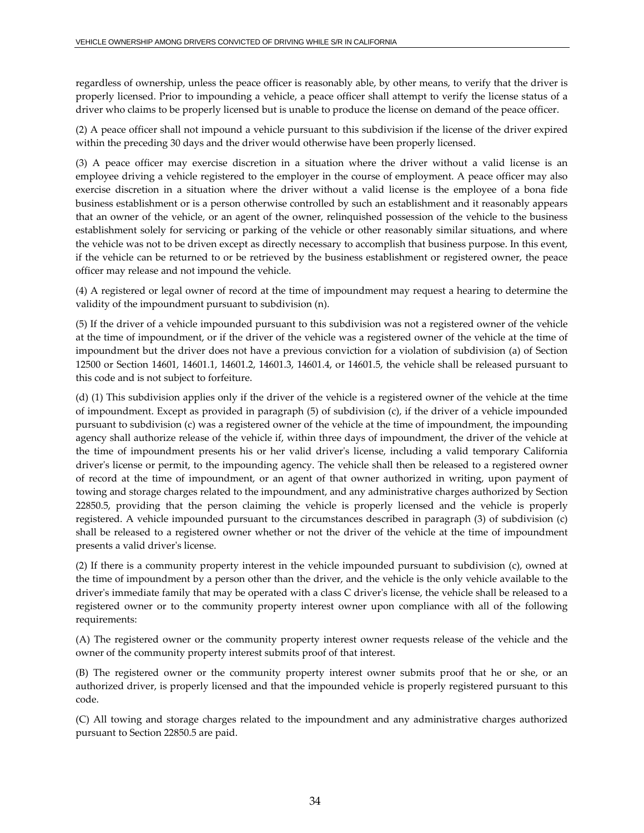regardless of ownership, unless the peace officer is reasonably able, by other means, to verify that the driver is properly licensed. Prior to impounding a vehicle, a peace officer shall attempt to verify the license status of a driver who claims to be properly licensed but is unable to produce the license on demand of the peace officer.

(2) A peace officer shall not impound a vehicle pursuant to this subdivision if the license of the driver expired within the preceding 30 days and the driver would otherwise have been properly licensed.

(3) A peace officer may exercise discretion in a situation where the driver without a valid license is an employee driving a vehicle registered to the employer in the course of employment. A peace officer may also exercise discretion in a situation where the driver without a valid license is the employee of a bona fide business establishment or is a person otherwise controlled by such an establishment and it reasonably appears that an owner of the vehicle, or an agent of the owner, relinquished possession of the vehicle to the business establishment solely for servicing or parking of the vehicle or other reasonably similar situations, and where the vehicle was not to be driven except as directly necessary to accomplish that business purpose. In this event, if the vehicle can be returned to or be retrieved by the business establishment or registered owner, the peace officer may release and not impound the vehicle.

(4) A registered or legal owner of record at the time of impoundment may request a hearing to determine the validity of the impoundment pursuant to subdivision (n).

(5) If the driver of a vehicle impounded pursuant to this subdivision was not a registered owner of the vehicle at the time of impoundment, or if the driver of the vehicle was a registered owner of the vehicle at the time of impoundment but the driver does not have a previous conviction for a violation of subdivision (a) of Section 12500 or Section 14601, 14601.1, 14601.2, 14601.3, 14601.4, or 14601.5, the vehicle shall be released pursuant to this code and is not subject to forfeiture.

(d) (1) This subdivision applies only if the driver of the vehicle is a registered owner of the vehicle at the time of impoundment. Except as provided in paragraph (5) of subdivision (c), if the driver of a vehicle impounded pursuant to subdivision (c) was a registered owner of the vehicle at the time of impoundment, the impounding agency shall authorize release of the vehicle if, within three days of impoundment, the driver of the vehicle at the time of impoundment presents his or her valid driverʹs license, including a valid temporary California driverʹs license or permit, to the impounding agency. The vehicle shall then be released to a registered owner of record at the time of impoundment, or an agent of that owner authorized in writing, upon payment of towing and storage charges related to the impoundment, and any administrative charges authorized by Section 22850.5, providing that the person claiming the vehicle is properly licensed and the vehicle is properly registered. A vehicle impounded pursuant to the circumstances described in paragraph (3) of subdivision (c) shall be released to a registered owner whether or not the driver of the vehicle at the time of impoundment presents a valid driverʹs license.

(2) If there is a community property interest in the vehicle impounded pursuant to subdivision (c), owned at the time of impoundment by a person other than the driver, and the vehicle is the only vehicle available to the driver's immediate family that may be operated with a class C driver's license, the vehicle shall be released to a registered owner or to the community property interest owner upon compliance with all of the following requirements:

(A) The registered owner or the community property interest owner requests release of the vehicle and the owner of the community property interest submits proof of that interest.

(B) The registered owner or the community property interest owner submits proof that he or she, or an authorized driver, is properly licensed and that the impounded vehicle is properly registered pursuant to this code.

(C) All towing and storage charges related to the impoundment and any administrative charges authorized pursuant to Section 22850.5 are paid.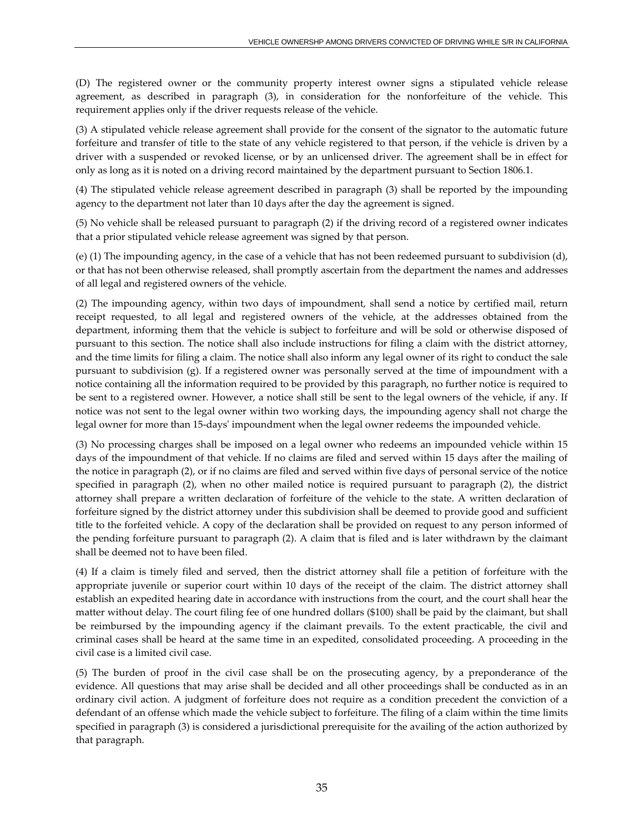(D) The registered owner or the community property interest owner signs a stipulated vehicle release agreement, as described in paragraph (3), in consideration for the nonforfeiture of the vehicle. This requirement applies only if the driver requests release of the vehicle.

(3) A stipulated vehicle release agreement shall provide for the consent of the signator to the automatic future forfeiture and transfer of title to the state of any vehicle registered to that person, if the vehicle is driven by a driver with a suspended or revoked license, or by an unlicensed driver. The agreement shall be in effect for only as long as it is noted on a driving record maintained by the department pursuant to Section 1806.1.

(4) The stipulated vehicle release agreement described in paragraph (3) shall be reported by the impounding agency to the department not later than 10 days after the day the agreement is signed.

(5) No vehicle shall be released pursuant to paragraph (2) if the driving record of a registered owner indicates that a prior stipulated vehicle release agreement was signed by that person.

(e) (1) The impounding agency, in the case of a vehicle that has not been redeemed pursuant to subdivision (d), or that has not been otherwise released, shall promptly ascertain from the department the names and addresses of all legal and registered owners of the vehicle.

(2) The impounding agency, within two days of impoundment, shall send a notice by certified mail, return receipt requested, to all legal and registered owners of the vehicle, at the addresses obtained from the department, informing them that the vehicle is subject to forfeiture and will be sold or otherwise disposed of pursuant to this section. The notice shall also include instructions for filing a claim with the district attorney, and the time limits for filing a claim. The notice shall also inform any legal owner of its right to conduct the sale pursuant to subdivision (g). If a registered owner was personally served at the time of impoundment with a notice containing all the information required to be provided by this paragraph, no further notice is required to be sent to a registered owner. However, a notice shall still be sent to the legal owners of the vehicle, if any. If notice was not sent to the legal owner within two working days, the impounding agency shall not charge the legal owner for more than 15‐daysʹ impoundment when the legal owner redeems the impounded vehicle.

(3) No processing charges shall be imposed on a legal owner who redeems an impounded vehicle within 15 days of the impoundment of that vehicle. If no claims are filed and served within 15 days after the mailing of the notice in paragraph (2), or if no claims are filed and served within five days of personal service of the notice specified in paragraph (2), when no other mailed notice is required pursuant to paragraph (2), the district attorney shall prepare a written declaration of forfeiture of the vehicle to the state. A written declaration of forfeiture signed by the district attorney under this subdivision shall be deemed to provide good and sufficient title to the forfeited vehicle. A copy of the declaration shall be provided on request to any person informed of the pending forfeiture pursuant to paragraph (2). A claim that is filed and is later withdrawn by the claimant shall be deemed not to have been filed.

(4) If a claim is timely filed and served, then the district attorney shall file a petition of forfeiture with the appropriate juvenile or superior court within 10 days of the receipt of the claim. The district attorney shall establish an expedited hearing date in accordance with instructions from the court, and the court shall hear the matter without delay. The court filing fee of one hundred dollars (\$100) shall be paid by the claimant, but shall be reimbursed by the impounding agency if the claimant prevails. To the extent practicable, the civil and criminal cases shall be heard at the same time in an expedited, consolidated proceeding. A proceeding in the civil case is a limited civil case.

(5) The burden of proof in the civil case shall be on the prosecuting agency, by a preponderance of the evidence. All questions that may arise shall be decided and all other proceedings shall be conducted as in an ordinary civil action. A judgment of forfeiture does not require as a condition precedent the conviction of a defendant of an offense which made the vehicle subject to forfeiture. The filing of a claim within the time limits specified in paragraph (3) is considered a jurisdictional prerequisite for the availing of the action authorized by that paragraph.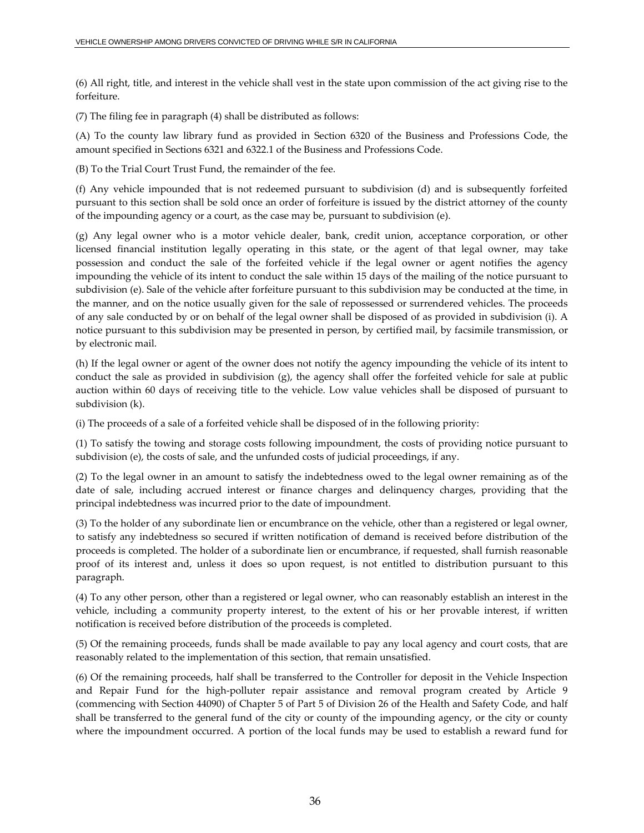(6) All right, title, and interest in the vehicle shall vest in the state upon commission of the act giving rise to the forfeiture.

(7) The filing fee in paragraph (4) shall be distributed as follows:

(A) To the county law library fund as provided in Section 6320 of the Business and Professions Code, the amount specified in Sections 6321 and 6322.1 of the Business and Professions Code.

(B) To the Trial Court Trust Fund, the remainder of the fee.

(f) Any vehicle impounded that is not redeemed pursuant to subdivision (d) and is subsequently forfeited pursuant to this section shall be sold once an order of forfeiture is issued by the district attorney of the county of the impounding agency or a court, as the case may be, pursuant to subdivision (e).

(g) Any legal owner who is a motor vehicle dealer, bank, credit union, acceptance corporation, or other licensed financial institution legally operating in this state, or the agent of that legal owner, may take possession and conduct the sale of the forfeited vehicle if the legal owner or agent notifies the agency impounding the vehicle of its intent to conduct the sale within 15 days of the mailing of the notice pursuant to subdivision (e). Sale of the vehicle after forfeiture pursuant to this subdivision may be conducted at the time, in the manner, and on the notice usually given for the sale of repossessed or surrendered vehicles. The proceeds of any sale conducted by or on behalf of the legal owner shall be disposed of as provided in subdivision (i). A notice pursuant to this subdivision may be presented in person, by certified mail, by facsimile transmission, or by electronic mail.

(h) If the legal owner or agent of the owner does not notify the agency impounding the vehicle of its intent to conduct the sale as provided in subdivision (g), the agency shall offer the forfeited vehicle for sale at public auction within 60 days of receiving title to the vehicle. Low value vehicles shall be disposed of pursuant to subdivision (k).

(i) The proceeds of a sale of a forfeited vehicle shall be disposed of in the following priority:

(1) To satisfy the towing and storage costs following impoundment, the costs of providing notice pursuant to subdivision (e), the costs of sale, and the unfunded costs of judicial proceedings, if any.

(2) To the legal owner in an amount to satisfy the indebtedness owed to the legal owner remaining as of the date of sale, including accrued interest or finance charges and delinquency charges, providing that the principal indebtedness was incurred prior to the date of impoundment.

(3) To the holder of any subordinate lien or encumbrance on the vehicle, other than a registered or legal owner, to satisfy any indebtedness so secured if written notification of demand is received before distribution of the proceeds is completed. The holder of a subordinate lien or encumbrance, if requested, shall furnish reasonable proof of its interest and, unless it does so upon request, is not entitled to distribution pursuant to this paragraph.

(4) To any other person, other than a registered or legal owner, who can reasonably establish an interest in the vehicle, including a community property interest, to the extent of his or her provable interest, if written notification is received before distribution of the proceeds is completed.

(5) Of the remaining proceeds, funds shall be made available to pay any local agency and court costs, that are reasonably related to the implementation of this section, that remain unsatisfied.

(6) Of the remaining proceeds, half shall be transferred to the Controller for deposit in the Vehicle Inspection and Repair Fund for the high‐polluter repair assistance and removal program created by Article 9 (commencing with Section 44090) of Chapter 5 of Part 5 of Division 26 of the Health and Safety Code, and half shall be transferred to the general fund of the city or county of the impounding agency, or the city or county where the impoundment occurred. A portion of the local funds may be used to establish a reward fund for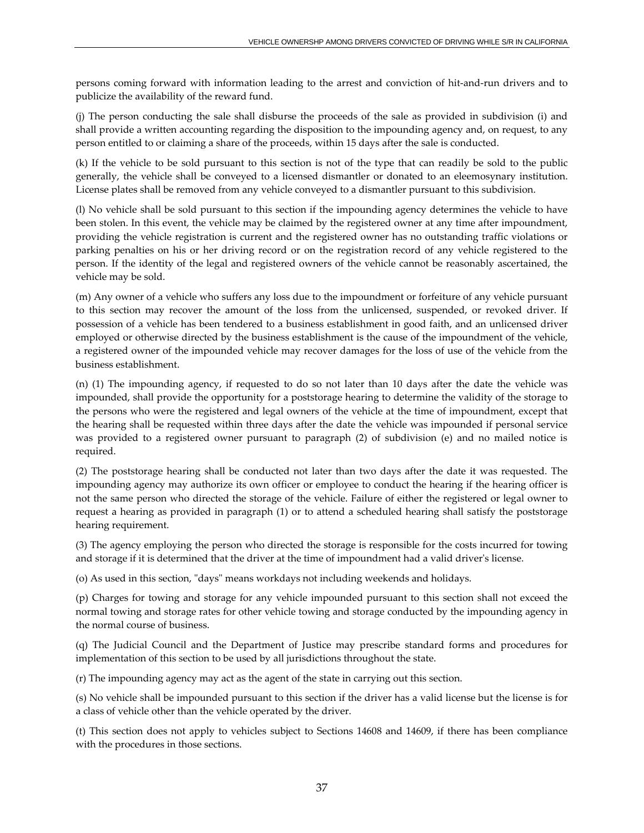persons coming forward with information leading to the arrest and conviction of hit-and-run drivers and to publicize the availability of the reward fund.

(j) The person conducting the sale shall disburse the proceeds of the sale as provided in subdivision (i) and shall provide a written accounting regarding the disposition to the impounding agency and, on request, to any person entitled to or claiming a share of the proceeds, within 15 days after the sale is conducted.

(k) If the vehicle to be sold pursuant to this section is not of the type that can readily be sold to the public generally, the vehicle shall be conveyed to a licensed dismantler or donated to an eleemosynary institution. License plates shall be removed from any vehicle conveyed to a dismantler pursuant to this subdivision.

(l) No vehicle shall be sold pursuant to this section if the impounding agency determines the vehicle to have been stolen. In this event, the vehicle may be claimed by the registered owner at any time after impoundment, providing the vehicle registration is current and the registered owner has no outstanding traffic violations or parking penalties on his or her driving record or on the registration record of any vehicle registered to the person. If the identity of the legal and registered owners of the vehicle cannot be reasonably ascertained, the vehicle may be sold.

(m) Any owner of a vehicle who suffers any loss due to the impoundment or forfeiture of any vehicle pursuant to this section may recover the amount of the loss from the unlicensed, suspended, or revoked driver. If possession of a vehicle has been tendered to a business establishment in good faith, and an unlicensed driver employed or otherwise directed by the business establishment is the cause of the impoundment of the vehicle, a registered owner of the impounded vehicle may recover damages for the loss of use of the vehicle from the business establishment.

(n) (1) The impounding agency, if requested to do so not later than 10 days after the date the vehicle was impounded, shall provide the opportunity for a poststorage hearing to determine the validity of the storage to the persons who were the registered and legal owners of the vehicle at the time of impoundment, except that the hearing shall be requested within three days after the date the vehicle was impounded if personal service was provided to a registered owner pursuant to paragraph (2) of subdivision (e) and no mailed notice is required.

(2) The poststorage hearing shall be conducted not later than two days after the date it was requested. The impounding agency may authorize its own officer or employee to conduct the hearing if the hearing officer is not the same person who directed the storage of the vehicle. Failure of either the registered or legal owner to request a hearing as provided in paragraph (1) or to attend a scheduled hearing shall satisfy the poststorage hearing requirement.

(3) The agency employing the person who directed the storage is responsible for the costs incurred for towing and storage if it is determined that the driver at the time of impoundment had a valid driver's license.

(o) As used in this section, "days" means workdays not including weekends and holidays.

(p) Charges for towing and storage for any vehicle impounded pursuant to this section shall not exceed the normal towing and storage rates for other vehicle towing and storage conducted by the impounding agency in the normal course of business.

(q) The Judicial Council and the Department of Justice may prescribe standard forms and procedures for implementation of this section to be used by all jurisdictions throughout the state.

(r) The impounding agency may act as the agent of the state in carrying out this section.

(s) No vehicle shall be impounded pursuant to this section if the driver has a valid license but the license is for a class of vehicle other than the vehicle operated by the driver.

(t) This section does not apply to vehicles subject to Sections 14608 and 14609, if there has been compliance with the procedures in those sections.